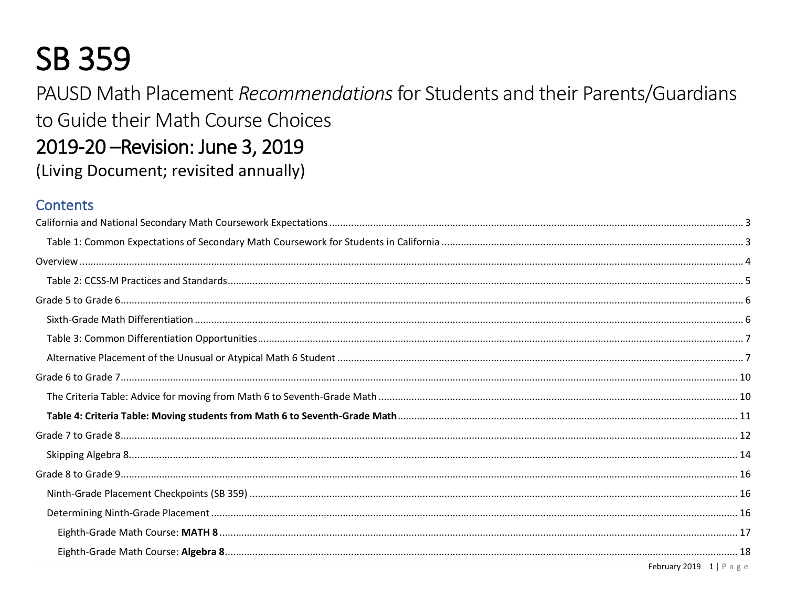# **SB 359**

PAUSD Math Placement Recommendations for Students and their Parents/Guardians to Guide their Math Course Choices 2019-20 – Revision: June 3, 2019 (Living Document; revisited annually)

# **Contents**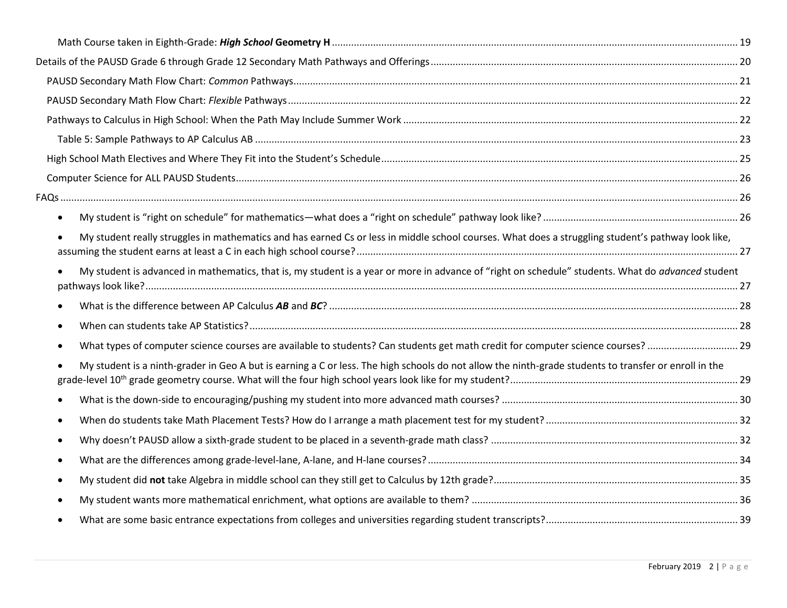| $\bullet$                                                                                                                                             |  |
|-------------------------------------------------------------------------------------------------------------------------------------------------------|--|
| My student really struggles in mathematics and has earned Cs or less in middle school courses. What does a struggling student's pathway look like,    |  |
| My student is advanced in mathematics, that is, my student is a year or more in advance of "right on schedule" students. What do advanced student     |  |
|                                                                                                                                                       |  |
| $\bullet$                                                                                                                                             |  |
|                                                                                                                                                       |  |
| My student is a ninth-grader in Geo A but is earning a C or less. The high schools do not allow the ninth-grade students to transfer or enroll in the |  |
|                                                                                                                                                       |  |
| $\bullet$                                                                                                                                             |  |
| ٠                                                                                                                                                     |  |
| $\bullet$                                                                                                                                             |  |
| $\bullet$                                                                                                                                             |  |
| $\bullet$                                                                                                                                             |  |
|                                                                                                                                                       |  |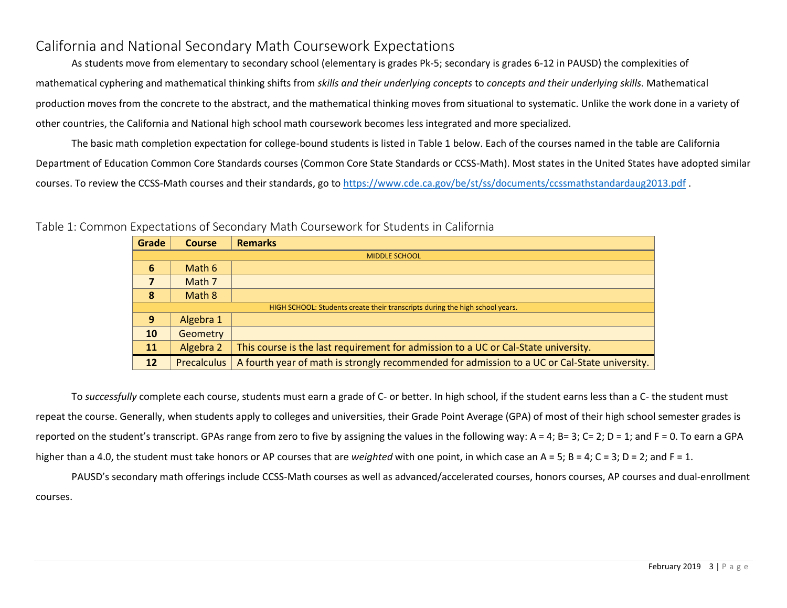# <span id="page-2-0"></span>California and National Secondary Math Coursework Expectations

As students move from elementary to secondary school (elementary is grades Pk-5; secondary is grades 6-12 in PAUSD) the complexities of mathematical cyphering and mathematical thinking shifts from *skills and their underlying concepts* to *concepts and their underlying skills*. Mathematical production moves from the concrete to the abstract, and the mathematical thinking moves from situational to systematic. Unlike the work done in a variety of other countries, the California and National high school math coursework becomes less integrated and more specialized.

The basic math completion expectation for college-bound students is listed in Table 1 below. Each of the courses named in the table are California Department of Education Common Core Standards courses (Common Core State Standards or CCSS-Math). Most states in the United States have adopted similar courses. To review the CCSS-Math courses and their standards, go to<https://www.cde.ca.gov/be/st/ss/documents/ccssmathstandardaug2013.pdf>.

| Grade                | <b>Course</b>      | <b>Remarks</b>                                                                               |  |  |
|----------------------|--------------------|----------------------------------------------------------------------------------------------|--|--|
| <b>MIDDLE SCHOOL</b> |                    |                                                                                              |  |  |
| 6                    | Math 6             |                                                                                              |  |  |
| 7                    | Math 7             |                                                                                              |  |  |
| 8                    | Math 8             |                                                                                              |  |  |
|                      |                    | HIGH SCHOOL: Students create their transcripts during the high school years.                 |  |  |
| 9                    | Algebra 1          |                                                                                              |  |  |
| 10                   | <b>Geometry</b>    |                                                                                              |  |  |
| <b>11</b>            | Algebra 2          | This course is the last requirement for admission to a UC or Cal-State university.           |  |  |
| 12                   | <b>Precalculus</b> | A fourth year of math is strongly recommended for admission to a UC or Cal-State university. |  |  |

<span id="page-2-1"></span>Table 1: Common Expectations of Secondary Math Coursework for Students in California

To *successfully* complete each course, students must earn a grade of C- or better. In high school, if the student earns less than a C- the student must repeat the course. Generally, when students apply to colleges and universities, their Grade Point Average (GPA) of most of their high school semester grades is reported on the student's transcript. GPAs range from zero to five by assigning the values in the following way:  $A = 4$ ;  $B = 3$ ;  $C = 2$ ;  $D = 1$ ; and  $F = 0$ . To earn a GPA higher than a 4.0, the student must take honors or AP courses that are *weighted* with one point, in which case an A = 5; B = 4; C = 3; D = 2; and F = 1.

PAUSD's secondary math offerings include CCSS-Math courses as well as advanced/accelerated courses, honors courses, AP courses and dual-enrollment courses.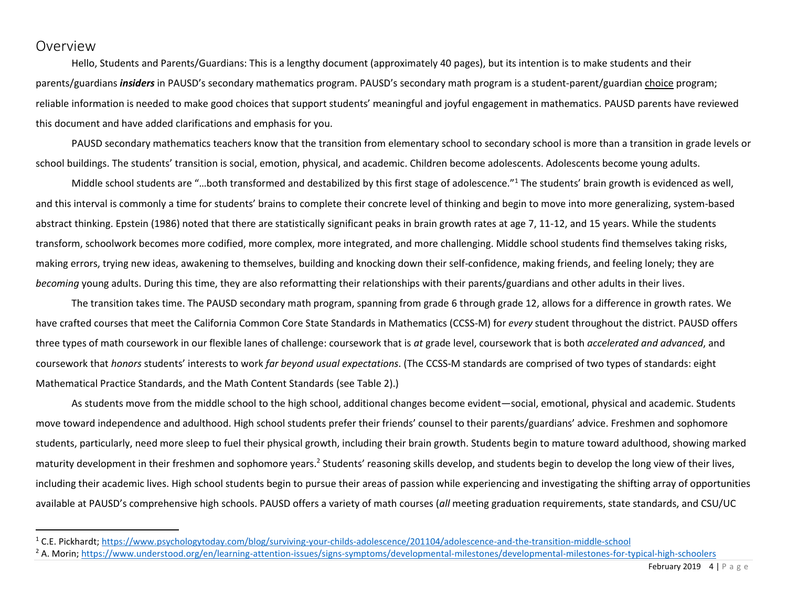# <span id="page-3-0"></span>Overview

Hello, Students and Parents/Guardians: This is a lengthy document (approximately 40 pages), but its intention is to make students and their parents/guardians *insiders* in PAUSD's secondary mathematics program. PAUSD's secondary math program is a student-parent/guardian choice program; reliable information is needed to make good choices that support students' meaningful and joyful engagement in mathematics. PAUSD parents have reviewed this document and have added clarifications and emphasis for you.

PAUSD secondary mathematics teachers know that the transition from elementary school to secondary school is more than a transition in grade levels or school buildings. The students' transition is social, emotion, physical, and academic. Children become adolescents. Adolescents become young adults.

Middle school students are "…both transformed and destabilized by this first stage of adolescence."<sup>1</sup> The students' brain growth is evidenced as well, and this interval is commonly a time for students' brains to complete their concrete level of thinking and begin to move into more generalizing, system-based abstract thinking. Epstein (1986) noted that there are statistically significant peaks in brain growth rates at age 7, 11-12, and 15 years. While the students transform, schoolwork becomes more codified, more complex, more integrated, and more challenging. Middle school students find themselves taking risks, making errors, trying new ideas, awakening to themselves, building and knocking down their self-confidence, making friends, and feeling lonely; they are *becoming* young adults. During this time, they are also reformatting their relationships with their parents/guardians and other adults in their lives.

The transition takes time. The PAUSD secondary math program, spanning from grade 6 through grade 12, allows for a difference in growth rates. We have crafted courses that meet the California Common Core State Standards in Mathematics (CCSS-M) for *every* student throughout the district. PAUSD offers three types of math coursework in our flexible lanes of challenge: coursework that is *at* grade level, coursework that is both *accelerated and advanced*, and coursework that *honors* students' interests to work *far beyond usual expectations*. (The CCSS-M standards are comprised of two types of standards: eight Mathematical Practice Standards, and the Math Content Standards (see Table 2).)

As students move from the middle school to the high school, additional changes become evident—social, emotional, physical and academic. Students move toward independence and adulthood. High school students prefer their friends' counsel to their parents/guardians' advice. Freshmen and sophomore students, particularly, need more sleep to fuel their physical growth, including their brain growth. Students begin to mature toward adulthood, showing marked maturity development in their freshmen and sophomore years.<sup>2</sup> Students' reasoning skills develop, and students begin to develop the long view of their lives, including their academic lives. High school students begin to pursue their areas of passion while experiencing and investigating the shifting array of opportunities available at PAUSD's comprehensive high schools. PAUSD offers a variety of math courses (*all* meeting graduation requirements, state standards, and CSU/UC

<sup>1</sup> C.E. Pickhardt[; https://www.psychologytoday.com/blog/surviving-your-childs-adolescence/201104/adolescence-and-the-transition-middle-school](https://www.psychologytoday.com/blog/surviving-your-childs-adolescence/201104/adolescence-and-the-transition-middle-school)

<sup>&</sup>lt;sup>2</sup> A. Morin;<https://www.understood.org/en/learning-attention-issues/signs-symptoms/developmental-milestones/developmental-milestones-for-typical-high-schoolers>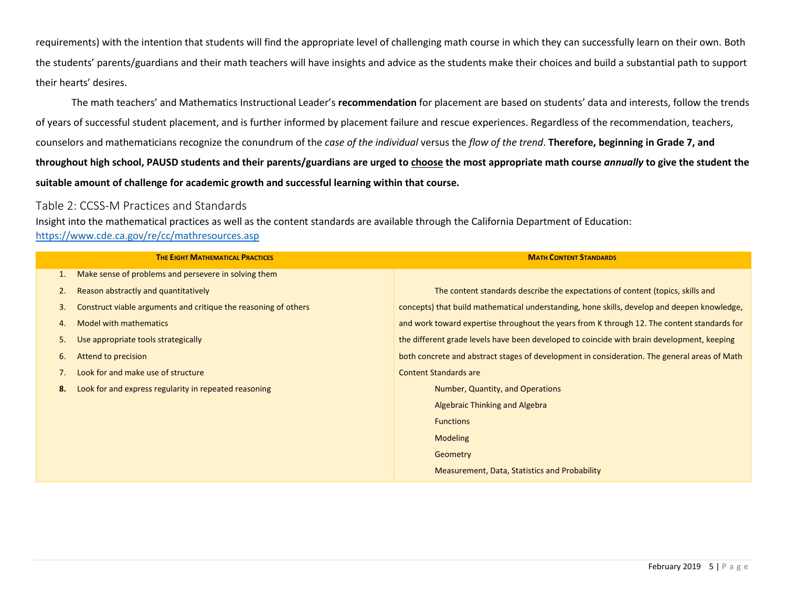requirements) with the intention that students will find the appropriate level of challenging math course in which they can successfully learn on their own. Both the students' parents/guardians and their math teachers will have insights and advice as the students make their choices and build a substantial path to support their hearts' desires.

The math teachers' and Mathematics Instructional Leader's **recommendation** for placement are based on students' data and interests, follow the trends of years of successful student placement, and is further informed by placement failure and rescue experiences. Regardless of the recommendation, teachers, counselors and mathematicians recognize the conundrum of the *case of the individual* versus the *flow of the trend*. **Therefore, beginning in Grade 7, and throughout high school, PAUSD students and their parents/guardians are urged to choose the most appropriate math course** *annually* **to give the student the suitable amount of challenge for academic growth and successful learning within that course.**

## <span id="page-4-0"></span>Table 2: CCSS-M Practices and Standards

Insight into the mathematical practices as well as the content standards are available through the California Department of Education: <https://www.cde.ca.gov/re/cc/mathresources.asp>

|              | <b>THE EIGHT MATHEMATICAL PRACTICES</b>                         | <b>MATH CONTENT STANDARDS</b>                                                                |
|--------------|-----------------------------------------------------------------|----------------------------------------------------------------------------------------------|
| $\mathbf{1}$ | Make sense of problems and persevere in solving them            |                                                                                              |
| 2.           | Reason abstractly and quantitatively                            | The content standards describe the expectations of content (topics, skills and               |
| 3.           | Construct viable arguments and critique the reasoning of others | concepts) that build mathematical understanding, hone skills, develop and deepen knowledge,  |
| 4.           | <b>Model with mathematics</b>                                   | and work toward expertise throughout the years from K through 12. The content standards for  |
| 5.           | Use appropriate tools strategically                             | the different grade levels have been developed to coincide with brain development, keeping   |
| 6.           | Attend to precision                                             | both concrete and abstract stages of development in consideration. The general areas of Math |
|              | Look for and make use of structure                              | <b>Content Standards are</b>                                                                 |
| 8.           | Look for and express regularity in repeated reasoning           | Number, Quantity, and Operations                                                             |
|              |                                                                 | <b>Algebraic Thinking and Algebra</b>                                                        |
|              |                                                                 | <b>Functions</b>                                                                             |
|              |                                                                 | <b>Modeling</b>                                                                              |
|              |                                                                 | Geometry                                                                                     |
|              |                                                                 | Measurement, Data, Statistics and Probability                                                |
|              |                                                                 |                                                                                              |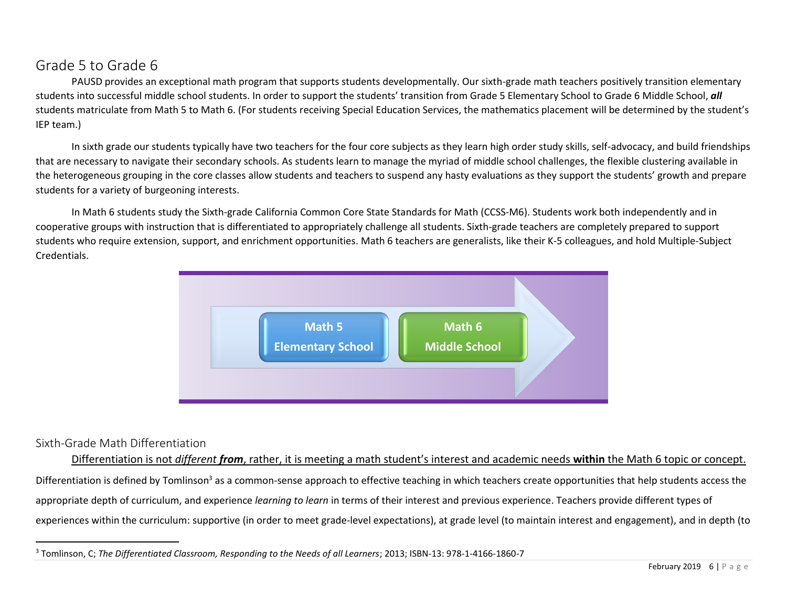# <span id="page-5-0"></span>Grade 5 to Grade 6

PAUSD provides an exceptional math program that supports students developmentally. Our sixth-grade math teachers positively transition elementary students into successful middle school students. In order to support the students' transition from Grade 5 Elementary School to Grade 6 Middle School, *all* students matriculate from Math 5 to Math 6. (For students receiving Special Education Services, the mathematics placement will be determined by the student's IEP team.)

In sixth grade our students typically have two teachers for the four core subjects as they learn high order study skills, self-advocacy, and build friendships that are necessary to navigate their secondary schools. As students learn to manage the myriad of middle school challenges, the flexible clustering available in the heterogeneous grouping in the core classes allow students and teachers to suspend any hasty evaluations as they support the students' growth and prepare students for a variety of burgeoning interests.

In Math 6 students study the Sixth-grade California Common Core State Standards for Math (CCSS-M6). Students work both independently and in cooperative groups with instruction that is differentiated to appropriately challenge all students. Sixth-grade teachers are completely prepared to support students who require extension, support, and enrichment opportunities. Math 6 teachers are generalists, like their K-5 colleagues, and hold Multiple-Subject Credentials.



# <span id="page-5-1"></span>Sixth-Grade Math Differentiation

Differentiation is not *different from*, rather, it is meeting a math student's interest and academic needs **within** the Math 6 topic or concept. Differentiation is defined by Tomlinson<sup>3</sup> as a common-sense approach to effective teaching in which teachers create opportunities that help students access the appropriate depth of curriculum, and experience *learning to learn* in terms of their interest and previous experience. Teachers provide different types of experiences within the curriculum: supportive (in order to meet grade-level expectations), at grade level (to maintain interest and engagement), and in depth (to

<sup>3</sup> Tomlinson, C; *The Differentiated Classroom, Responding to the Needs of all Learners*; 2013; ISBN-13: 978-1-4166-1860-7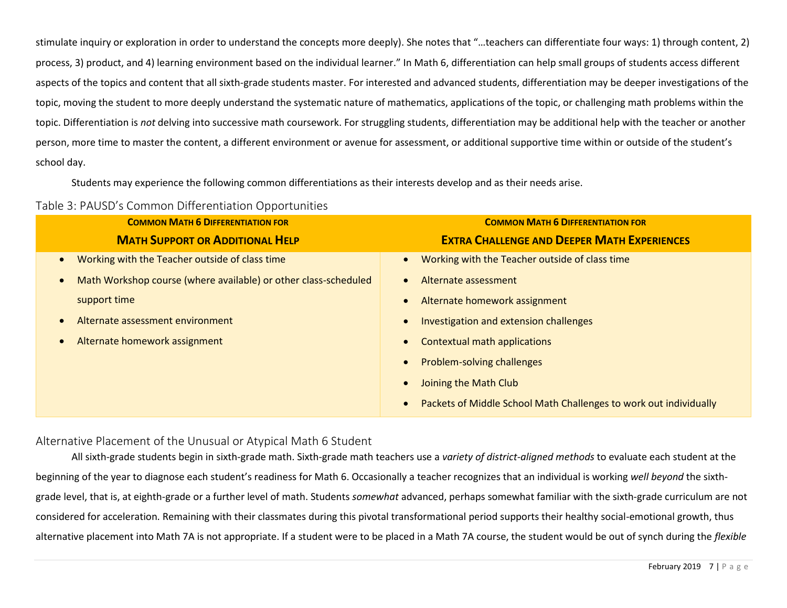stimulate inquiry or exploration in order to understand the concepts more deeply). She notes that "…teachers can differentiate four ways: 1) through content, 2) process, 3) product, and 4) learning environment based on the individual learner." In Math 6, differentiation can help small groups of students access different aspects of the topics and content that all sixth-grade students master. For interested and advanced students, differentiation may be deeper investigations of the topic, moving the student to more deeply understand the systematic nature of mathematics, applications of the topic, or challenging math problems within the topic. Differentiation is *not* delving into successive math coursework. For struggling students, differentiation may be additional help with the teacher or another person, more time to master the content, a different environment or avenue for assessment, or additional supportive time within or outside of the student's school day.

Students may experience the following common differentiations as their interests develop and as their needs arise.

<span id="page-6-0"></span>

| Table 3: PAUSD's Common Differentiation Opportunities |  |  |
|-------------------------------------------------------|--|--|
|-------------------------------------------------------|--|--|

| <b>COMMON MATH 6 DIFFERENTIATION FOR</b>                        | <b>COMMON MATH 6 DIFFERENTIATION FOR</b>                          |
|-----------------------------------------------------------------|-------------------------------------------------------------------|
| <b>MATH SUPPORT OR ADDITIONAL HELP</b>                          | <b>EXTRA CHALLENGE AND DEEPER MATH EXPERIENCES</b>                |
| Working with the Teacher outside of class time                  | Working with the Teacher outside of class time                    |
| Math Workshop course (where available) or other class-scheduled | Alternate assessment                                              |
| support time                                                    | Alternate homework assignment                                     |
| Alternate assessment environment                                | Investigation and extension challenges                            |
| Alternate homework assignment                                   | <b>Contextual math applications</b>                               |
|                                                                 | <b>Problem-solving challenges</b>                                 |
|                                                                 | Joining the Math Club                                             |
|                                                                 | Packets of Middle School Math Challenges to work out individually |

## <span id="page-6-1"></span>Alternative Placement of the Unusual or Atypical Math 6 Student

All sixth-grade students begin in sixth-grade math. Sixth-grade math teachers use a *variety of district-aligned methods* to evaluate each student at the beginning of the year to diagnose each student's readiness for Math 6. Occasionally a teacher recognizes that an individual is working *well beyond* the sixthgrade level, that is, at eighth-grade or a further level of math. Students *somewhat* advanced, perhaps somewhat familiar with the sixth-grade curriculum are not considered for acceleration. Remaining with their classmates during this pivotal transformational period supports their healthy social-emotional growth, thus alternative placement into Math 7A is not appropriate. If a student were to be placed in a Math 7A course, the student would be out of synch during the *flexible*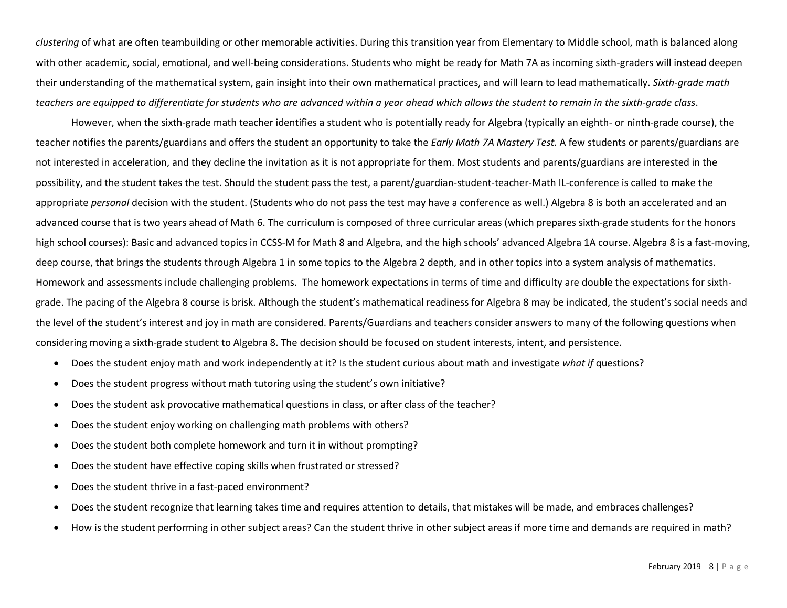*clustering* of what are often teambuilding or other memorable activities. During this transition year from Elementary to Middle school, math is balanced along with other academic, social, emotional, and well-being considerations. Students who might be ready for Math 7A as incoming sixth-graders will instead deepen their understanding of the mathematical system, gain insight into their own mathematical practices, and will learn to lead mathematically. *Sixth-grade math teachers are equipped to differentiate for students who are advanced within a year ahead which allows the student to remain in the sixth-grade class*.

However, when the sixth-grade math teacher identifies a student who is potentially ready for Algebra (typically an eighth- or ninth-grade course), the teacher notifies the parents/guardians and offers the student an opportunity to take the *Early Math 7A Mastery Test.* A few students or parents/guardians are not interested in acceleration, and they decline the invitation as it is not appropriate for them. Most students and parents/guardians are interested in the possibility, and the student takes the test. Should the student pass the test, a parent/guardian-student-teacher-Math IL-conference is called to make the appropriate *personal* decision with the student. (Students who do not pass the test may have a conference as well.) Algebra 8 is both an accelerated and an advanced course that is two years ahead of Math 6. The curriculum is composed of three curricular areas (which prepares sixth-grade students for the honors high school courses): Basic and advanced topics in CCSS-M for Math 8 and Algebra, and the high schools' advanced Algebra 1A course. Algebra 8 is a fast-moving, deep course, that brings the students through Algebra 1 in some topics to the Algebra 2 depth, and in other topics into a system analysis of mathematics. Homework and assessments include challenging problems. The homework expectations in terms of time and difficulty are double the expectations for sixthgrade. The pacing of the Algebra 8 course is brisk. Although the student's mathematical readiness for Algebra 8 may be indicated, the student's social needs and the level of the student's interest and joy in math are considered. Parents/Guardians and teachers consider answers to many of the following questions when considering moving a sixth-grade student to Algebra 8. The decision should be focused on student interests, intent, and persistence.

- Does the student enjoy math and work independently at it? Is the student curious about math and investigate *what if* questions?
- Does the student progress without math tutoring using the student's own initiative?
- Does the student ask provocative mathematical questions in class, or after class of the teacher?
- Does the student enjoy working on challenging math problems with others?
- Does the student both complete homework and turn it in without prompting?
- Does the student have effective coping skills when frustrated or stressed?
- Does the student thrive in a fast-paced environment?
- Does the student recognize that learning takes time and requires attention to details, that mistakes will be made, and embraces challenges?
- How is the student performing in other subject areas? Can the student thrive in other subject areas if more time and demands are required in math?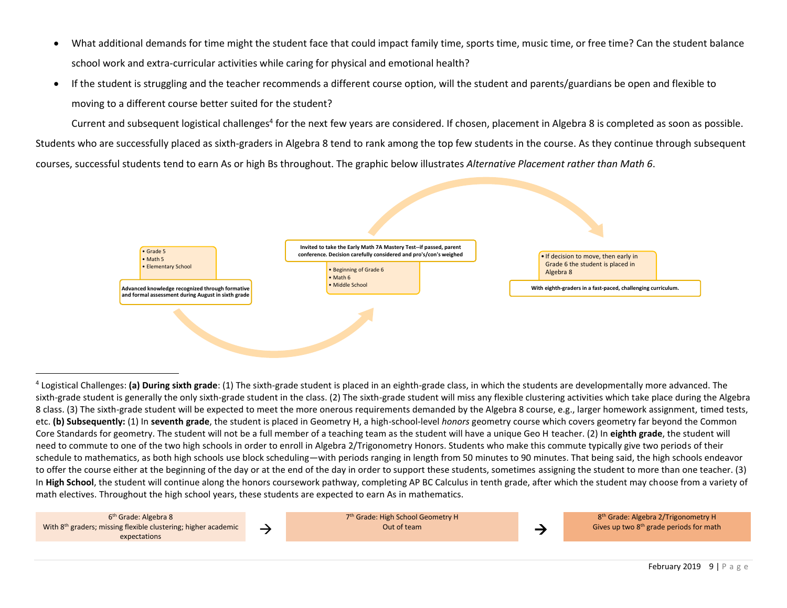- What additional demands for time might the student face that could impact family time, sports time, music time, or free time? Can the student balance school work and extra-curricular activities while caring for physical and emotional health?
- If the student is struggling and the teacher recommends a different course option, will the student and parents/guardians be open and flexible to moving to a different course better suited for the student?

Current and subsequent logistical challenges<sup>4</sup> for the next few years are considered. If chosen, placement in Algebra 8 is completed as soon as possible. Students who are successfully placed as sixth-graders in Algebra 8 tend to rank among the top few students in the course. As they continue through subsequent courses, successful students tend to earn As or high Bs throughout. The graphic below illustrates *Alternative Placement rather than Math 6*.



<sup>4</sup> Logistical Challenges: **(a) During sixth grade**: (1) The sixth-grade student is placed in an eighth-grade class, in which the students are developmentally more advanced. The sixth-grade student is generally the only sixth-grade student in the class. (2) The sixth-grade student will miss any flexible clustering activities which take place during the Algebra 8 class. (3) The sixth-grade student will be expected to meet the more onerous requirements demanded by the Algebra 8 course, e.g., larger homework assignment, timed tests, etc. **(b) Subsequently:** (1) In **seventh grade**, the student is placed in Geometry H, a high-school-level *honors* geometry course which covers geometry far beyond the Common Core Standards for geometry. The student will not be a full member of a teaching team as the student will have a unique Geo H teacher. (2) In **eighth grade**, the student will need to commute to one of the two high schools in order to enroll in Algebra 2/Trigonometry Honors. Students who make this commute typically give two periods of their schedule to mathematics, as both high schools use block scheduling—with periods ranging in length from 50 minutes to 90 minutes. That being said, the high schools endeavor to offer the course either at the beginning of the day or at the end of the day in order to support these students, sometimes assigning the student to more than one teacher. (3) In **High School**, the student will continue along the honors coursework pathway, completing AP BC Calculus in tenth grade, after which the student may choose from a variety of math electives. Throughout the high school years, these students are expected to earn As in mathematics.

6 th Grade: Algebra 8 With 8<sup>th</sup> graders; missing flexible clustering; higher academic  $\rightarrow \rightarrow$ 

7 th Grade: High School Geometry H Out of team →

8 th Grade: Algebra 2/Trigonometry H Gives up two 8th grade periods for math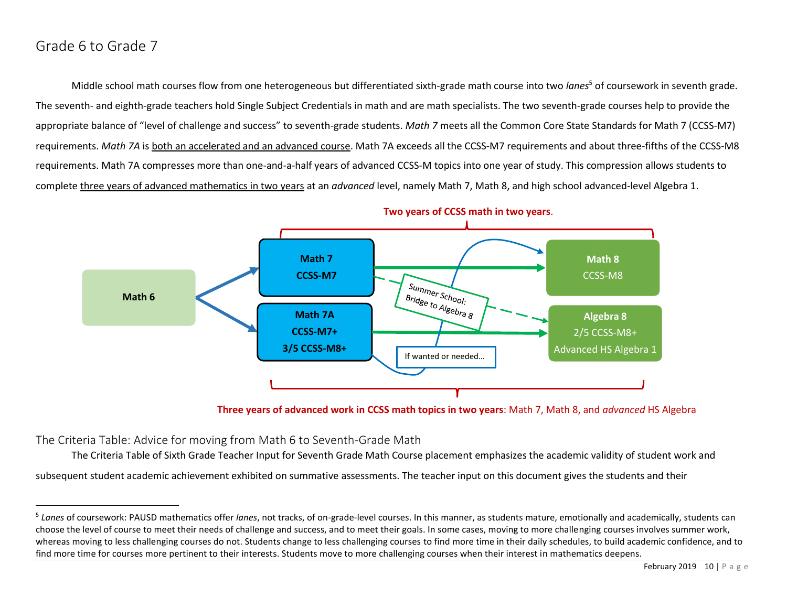# <span id="page-9-0"></span>Grade 6 to Grade 7

Middle school math courses flow from one heterogeneous but differentiated sixth-grade math course into two *lanes*<sup>5</sup> of coursework in seventh grade. The seventh- and eighth-grade teachers hold Single Subject Credentials in math and are math specialists. The two seventh-grade courses help to provide the appropriate balance of "level of challenge and success" to seventh-grade students. *Math 7* meets all the Common Core State Standards for Math 7 (CCSS-M7) requirements. *Math 7A* is both an accelerated and an advanced course. Math 7A exceeds all the CCSS-M7 requirements and about three-fifths of the CCSS-M8 requirements. Math 7A compresses more than one-and-a-half years of advanced CCSS-M topics into one year of study. This compression allows students to complete three years of advanced mathematics in two years at an *advanced* level, namely Math 7, Math 8, and high school advanced-level Algebra 1.



**Three years of advanced work in CCSS math topics in two years**: Math 7, Math 8, and *advanced* HS Algebra

<span id="page-9-1"></span>The Criteria Table: Advice for moving from Math 6 to Seventh-Grade Math

The Criteria Table of Sixth Grade Teacher Input for Seventh Grade Math Course placement emphasizes the academic validity of student work and subsequent student academic achievement exhibited on summative assessments. The teacher input on this document gives the students and their

<sup>&</sup>lt;sup>5</sup> Lanes of coursework: PAUSD mathematics offer lanes, not tracks, of on-grade-level courses. In this manner, as students mature, emotionally and academically, students can choose the level of course to meet their needs of challenge and success, and to meet their goals. In some cases, moving to more challenging courses involves summer work, whereas moving to less challenging courses do not. Students change to less challenging courses to find more time in their daily schedules, to build academic confidence, and to find more time for courses more pertinent to their interests. Students move to more challenging courses when their interest in mathematics deepens.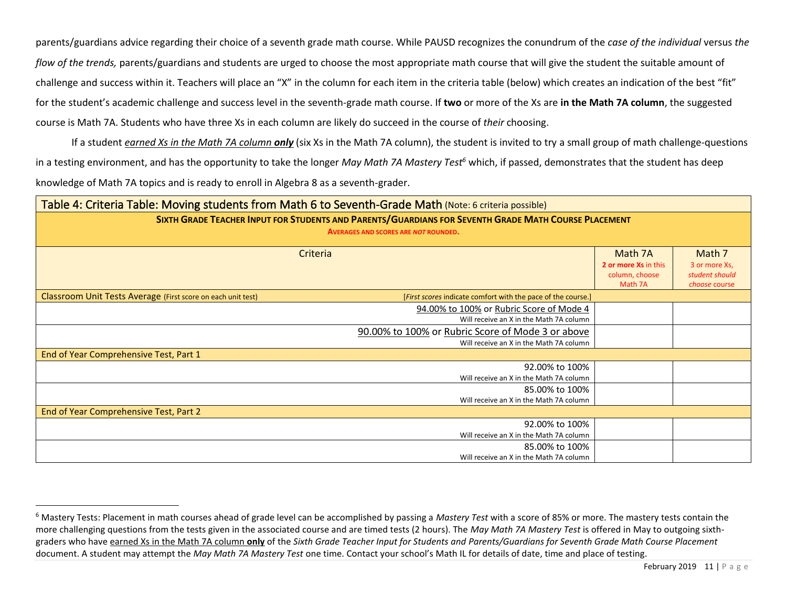parents/guardians advice regarding their choice of a seventh grade math course. While PAUSD recognizes the conundrum of the *case of the individual* versus *the flow of the trends,* parents/guardians and students are urged to choose the most appropriate math course that will give the student the suitable amount of challenge and success within it. Teachers will place an "X" in the column for each item in the criteria table (below) which creates an indication of the best "fit" for the student's academic challenge and success level in the seventh-grade math course. If **two** or more of the Xs are **in the Math 7A column**, the suggested course is Math 7A. Students who have three Xs in each column are likely do succeed in the course of *their* choosing.

If a student *earned Xs in the Math 7A column only* (six Xs in the Math 7A column), the student is invited to try a small group of math challenge-questions in a testing environment, and has the opportunity to take the longer *May Math 7A Mastery Test<sup>6</sup>* which, if passed, demonstrates that the student has deep knowledge of Math 7A topics and is ready to enroll in Algebra 8 as a seventh-grader.

<span id="page-10-0"></span>

|                                                              | Table 4: Criteria Table: Moving students from Math 6 to Seventh-Grade Math (Note: 6 criteria possible) |                      |                |
|--------------------------------------------------------------|--------------------------------------------------------------------------------------------------------|----------------------|----------------|
|                                                              | SIXTH GRADE TEACHER INPUT FOR STUDENTS AND PARENTS/GUARDIANS FOR SEVENTH GRADE MATH COURSE PLACEMENT   |                      |                |
|                                                              | <b>AVERAGES AND SCORES ARE NOT ROUNDED.</b>                                                            |                      |                |
|                                                              | Criteria                                                                                               | Math 7A              | Math 7         |
|                                                              |                                                                                                        | 2 or more Xs in this | 3 or more Xs,  |
|                                                              |                                                                                                        | column, choose       | student should |
|                                                              |                                                                                                        | Math 7A              | choose course  |
| Classroom Unit Tests Average (First score on each unit test) | [First scores indicate comfort with the pace of the course.]                                           |                      |                |
|                                                              | 94.00% to 100% or Rubric Score of Mode 4                                                               |                      |                |
|                                                              | Will receive an X in the Math 7A column                                                                |                      |                |
|                                                              | 90.00% to 100% or Rubric Score of Mode 3 or above                                                      |                      |                |
|                                                              | Will receive an X in the Math 7A column                                                                |                      |                |
| End of Year Comprehensive Test, Part 1                       |                                                                                                        |                      |                |
|                                                              | 92.00% to 100%                                                                                         |                      |                |
|                                                              | Will receive an X in the Math 7A column                                                                |                      |                |
|                                                              | 85.00% to 100%                                                                                         |                      |                |
|                                                              | Will receive an X in the Math 7A column                                                                |                      |                |
| End of Year Comprehensive Test, Part 2                       |                                                                                                        |                      |                |
|                                                              | 92.00% to 100%                                                                                         |                      |                |
|                                                              | Will receive an X in the Math 7A column                                                                |                      |                |
|                                                              | 85.00% to 100%                                                                                         |                      |                |
|                                                              | Will receive an X in the Math 7A column                                                                |                      |                |

<sup>6</sup> Mastery Tests: Placement in math courses ahead of grade level can be accomplished by passing a *Mastery Test* with a score of 85% or more. The mastery tests contain the more challenging questions from the tests given in the associated course and are timed tests (2 hours). The *May Math 7A Mastery Test* is offered in May to outgoing sixthgraders who have earned Xs in the Math 7A column **only** of the *Sixth Grade Teacher Input for Students and Parents/Guardians for Seventh Grade Math Course Placement* document. A student may attempt the *May Math 7A Mastery Test* one time. Contact your school's Math IL for details of date, time and place of testing.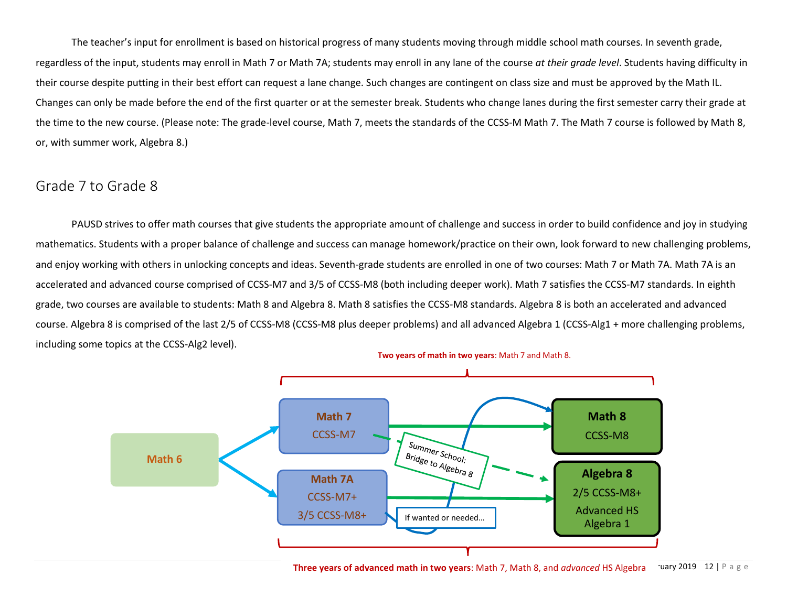The teacher's input for enrollment is based on historical progress of many students moving through middle school math courses. In seventh grade, regardless of the input, students may enroll in Math 7 or Math 7A; students may enroll in any lane of the course *at their grade level*. Students having difficulty in their course despite putting in their best effort can request a lane change. Such changes are contingent on class size and must be approved by the Math IL. Changes can only be made before the end of the first quarter or at the semester break. Students who change lanes during the first semester carry their grade at the time to the new course. (Please note: The grade-level course, Math 7, meets the standards of the CCSS-M Math 7. The Math 7 course is followed by Math 8, or, with summer work, Algebra 8.)

# <span id="page-11-0"></span>Grade 7 to Grade 8

PAUSD strives to offer math courses that give students the appropriate amount of challenge and success in order to build confidence and joy in studying mathematics. Students with a proper balance of challenge and success can manage homework/practice on their own, look forward to new challenging problems, and enjoy working with others in unlocking concepts and ideas. Seventh-grade students are enrolled in one of two courses: Math 7 or Math 7A. Math 7A is an accelerated and advanced course comprised of CCSS-M7 and 3/5 of CCSS-M8 (both including deeper work). Math 7 satisfies the CCSS-M7 standards. In eighth grade, two courses are available to students: Math 8 and Algebra 8. Math 8 satisfies the CCSS-M8 standards. Algebra 8 is both an accelerated and advanced course. Algebra 8 is comprised of the last 2/5 of CCSS-M8 (CCSS-M8 plus deeper problems) and all advanced Algebra 1 (CCSS-Alg1 + more challenging problems, including some topics at the CCSS-Alg2 level).



Tuary 2019 12 | P a g e **Three years of advanced math in two years**: Math 7, Math 8, and *advanced* HS Algebra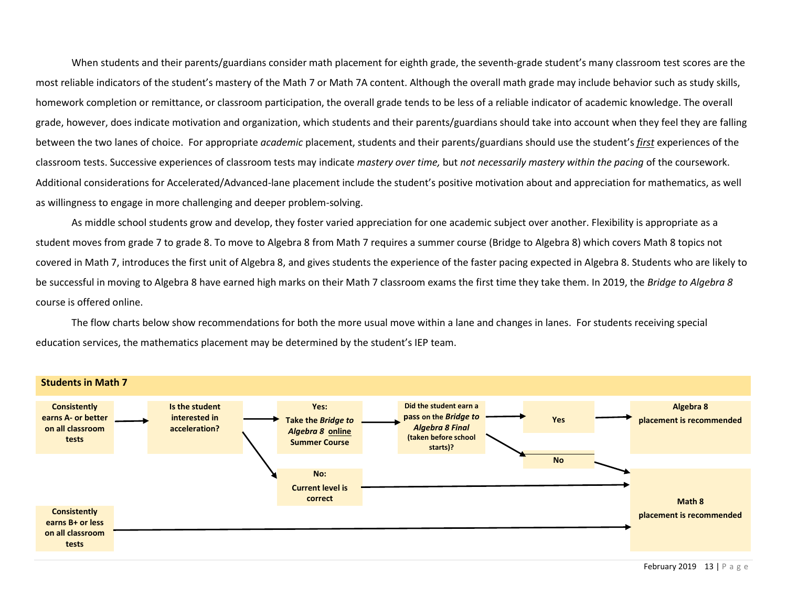When students and their parents/guardians consider math placement for eighth grade, the seventh-grade student's many classroom test scores are the most reliable indicators of the student's mastery of the Math 7 or Math 7A content. Although the overall math grade may include behavior such as study skills, homework completion or remittance, or classroom participation, the overall grade tends to be less of a reliable indicator of academic knowledge. The overall grade, however, does indicate motivation and organization, which students and their parents/guardians should take into account when they feel they are falling between the two lanes of choice. For appropriate *academic* placement, students and their parents/guardians should use the student's *first* experiences of the classroom tests. Successive experiences of classroom tests may indicate *mastery over time,* but *not necessarily mastery within the pacing* of the coursework. Additional considerations for Accelerated/Advanced-lane placement include the student's positive motivation about and appreciation for mathematics, as well as willingness to engage in more challenging and deeper problem-solving.

As middle school students grow and develop, they foster varied appreciation for one academic subject over another. Flexibility is appropriate as a student moves from grade 7 to grade 8. To move to Algebra 8 from Math 7 requires a summer course (Bridge to Algebra 8) which covers Math 8 topics not covered in Math 7, introduces the first unit of Algebra 8, and gives students the experience of the faster pacing expected in Algebra 8. Students who are likely to be successful in moving to Algebra 8 have earned high marks on their Math 7 classroom exams the first time they take them. In 2019, the *Bridge to Algebra 8* course is offered online.

The flow charts below show recommendations for both the more usual move within a lane and changes in lanes. For students receiving special education services, the mathematics placement may be determined by the student's IEP team.

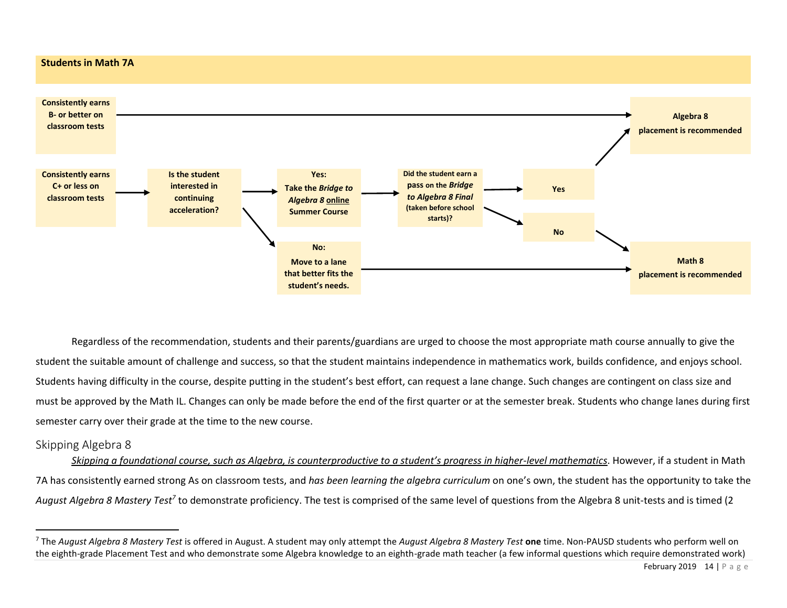#### **Students in Math 7A**



Regardless of the recommendation, students and their parents/guardians are urged to choose the most appropriate math course annually to give the student the suitable amount of challenge and success, so that the student maintains independence in mathematics work, builds confidence, and enjoys school. Students having difficulty in the course, despite putting in the student's best effort, can request a lane change. Such changes are contingent on class size and must be approved by the Math IL. Changes can only be made before the end of the first quarter or at the semester break. Students who change lanes during first semester carry over their grade at the time to the new course.

## <span id="page-13-0"></span>Skipping Algebra 8

*Skipping a foundational course, such as Algebra, is counterproductive to a student's progress in higher-level mathematics*. However, if a student in Math 7A has consistently earned strong As on classroom tests, and *has been learning the algebra curriculum* on one's own, the student has the opportunity to take the August Algebra 8 Mastery Test<sup>7</sup> to demonstrate proficiency. The test is comprised of the same level of questions from the Algebra 8 unit-tests and is timed (2

<sup>7</sup> The *August Algebra 8 Mastery Test* is offered in August. A student may only attempt the *August Algebra 8 Mastery Test* **one** time. Non-PAUSD students who perform well on the eighth-grade Placement Test and who demonstrate some Algebra knowledge to an eighth-grade math teacher (a few informal questions which require demonstrated work)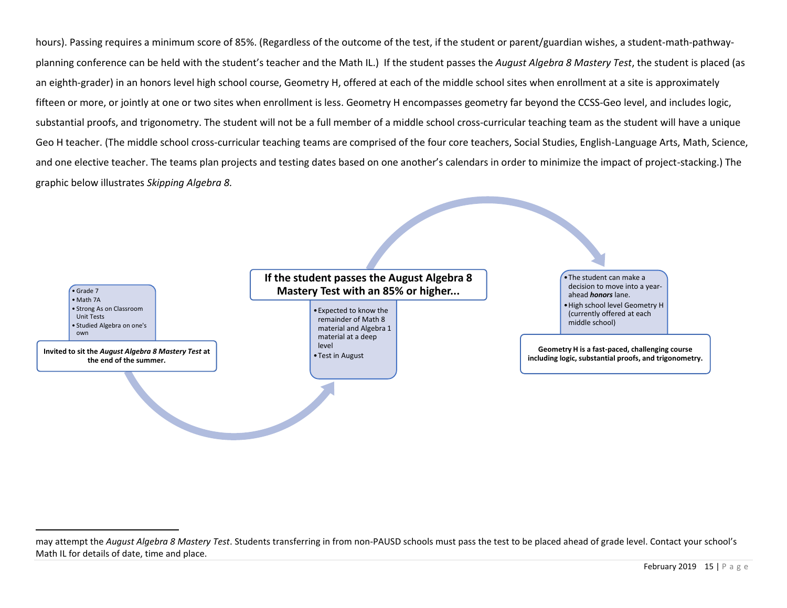hours). Passing requires a minimum score of 85%. (Regardless of the outcome of the test, if the student or parent/guardian wishes, a student-math-pathwayplanning conference can be held with the student's teacher and the Math IL.) If the student passes the *August Algebra 8 Mastery Test*, the student is placed (as an eighth-grader) in an honors level high school course, Geometry H, offered at each of the middle school sites when enrollment at a site is approximately fifteen or more, or jointly at one or two sites when enrollment is less. Geometry H encompasses geometry far beyond the CCSS-Geo level, and includes logic, substantial proofs, and trigonometry. The student will not be a full member of a middle school cross-curricular teaching team as the student will have a unique Geo H teacher. (The middle school cross-curricular teaching teams are comprised of the four core teachers, Social Studies, English-Language Arts, Math, Science, and one elective teacher. The teams plan projects and testing dates based on one another's calendars in order to minimize the impact of project-stacking.) The graphic below illustrates *Skipping Algebra 8.*



may attempt the *August Algebra 8 Mastery Test*. Students transferring in from non-PAUSD schools must pass the test to be placed ahead of grade level. Contact your school's Math IL for details of date, time and place.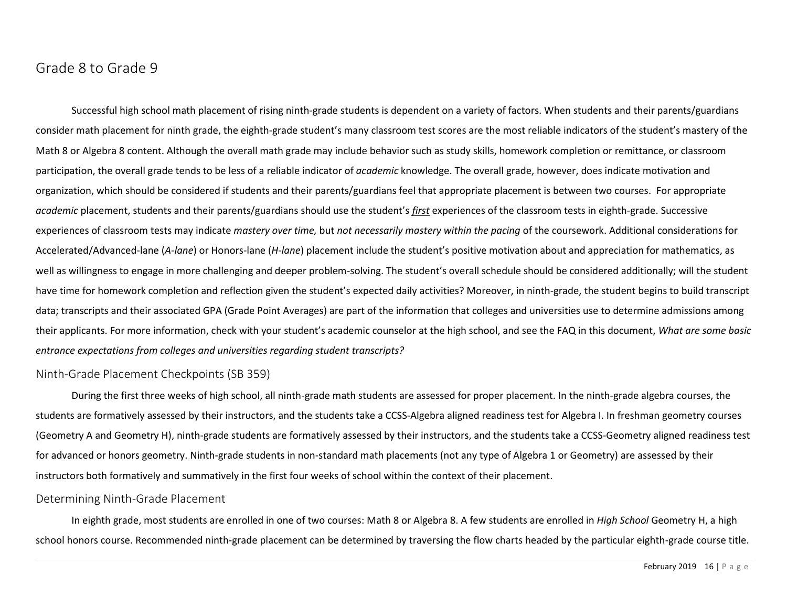# <span id="page-15-0"></span>Grade 8 to Grade 9

Successful high school math placement of rising ninth-grade students is dependent on a variety of factors. When students and their parents/guardians consider math placement for ninth grade, the eighth-grade student's many classroom test scores are the most reliable indicators of the student's mastery of the Math 8 or Algebra 8 content. Although the overall math grade may include behavior such as study skills, homework completion or remittance, or classroom participation, the overall grade tends to be less of a reliable indicator of *academic* knowledge. The overall grade, however, does indicate motivation and organization, which should be considered if students and their parents/guardians feel that appropriate placement is between two courses. For appropriate *academic* placement, students and their parents/guardians should use the student's *first* experiences of the classroom tests in eighth-grade. Successive experiences of classroom tests may indicate *mastery over time,* but *not necessarily mastery within the pacing* of the coursework. Additional considerations for Accelerated/Advanced-lane (*A-lane*) or Honors-lane (*H-lane*) placement include the student's positive motivation about and appreciation for mathematics, as well as willingness to engage in more challenging and deeper problem-solving. The student's overall schedule should be considered additionally; will the student have time for homework completion and reflection given the student's expected daily activities? Moreover, in ninth-grade, the student begins to build transcript data; transcripts and their associated GPA (Grade Point Averages) are part of the information that colleges and universities use to determine admissions among their applicants. For more information, check with your student's academic counselor at the high school, and see the FAQ in this document, *What are some basic entrance expectations from colleges and universities regarding student transcripts?*

#### <span id="page-15-1"></span>Ninth-Grade Placement Checkpoints (SB 359)

During the first three weeks of high school, all ninth-grade math students are assessed for proper placement. In the ninth-grade algebra courses, the students are formatively assessed by their instructors, and the students take a CCSS-Algebra aligned readiness test for Algebra I. In freshman geometry courses (Geometry A and Geometry H), ninth-grade students are formatively assessed by their instructors, and the students take a CCSS-Geometry aligned readiness test for advanced or honors geometry. Ninth-grade students in non-standard math placements (not any type of Algebra 1 or Geometry) are assessed by their instructors both formatively and summatively in the first four weeks of school within the context of their placement.

#### <span id="page-15-2"></span>Determining Ninth-Grade Placement

In eighth grade, most students are enrolled in one of two courses: Math 8 or Algebra 8. A few students are enrolled in *High School* Geometry H, a high school honors course. Recommended ninth-grade placement can be determined by traversing the flow charts headed by the particular eighth-grade course title.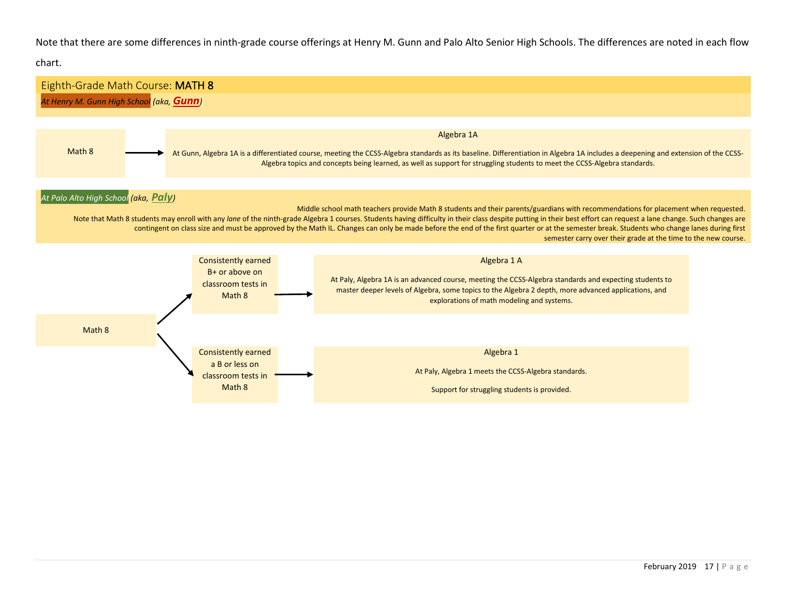Note that there are some differences in ninth-grade course offerings at Henry M. Gunn and Palo Alto Senior High Schools. The differences are noted in each flow

chart.

<span id="page-16-0"></span>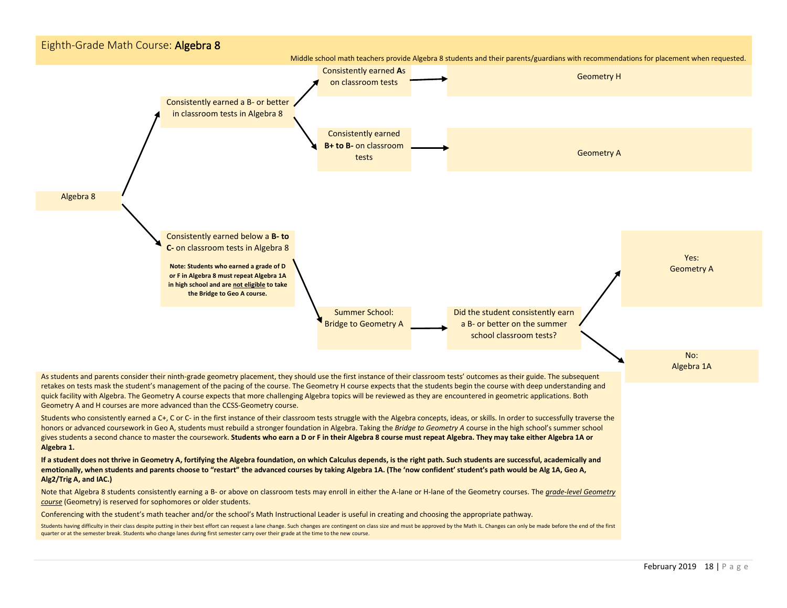<span id="page-17-0"></span>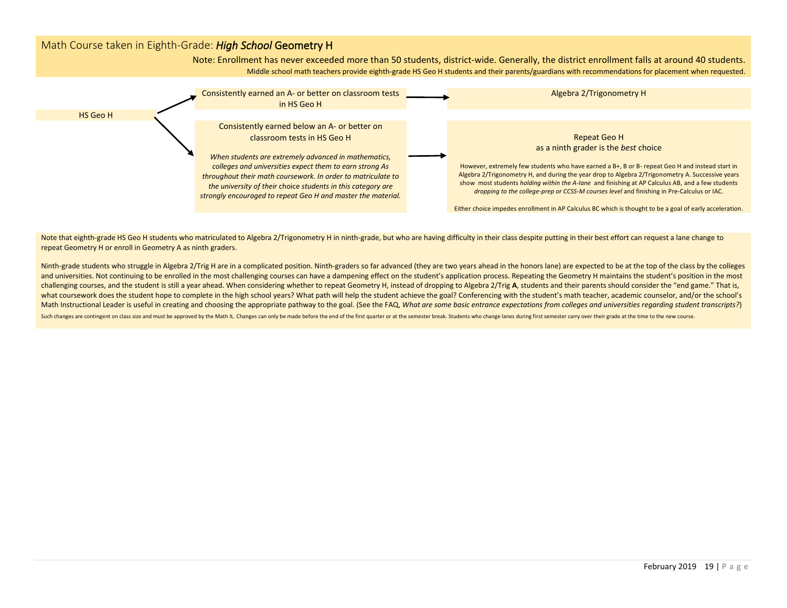## <span id="page-18-0"></span>Math Course taken in Eighth-Grade: *High School* Geometry H

Note: Enrollment has never exceeded more than 50 students, district-wide. Generally, the district enrollment falls at around 40 students. Middle school math teachers provide eighth-grade HS Geo H students and their parents/guardians with recommendations for placement when requested.



Note that eighth-grade HS Geo H students who matriculated to Algebra 2/Trigonometry H in ninth-grade, but who are having difficulty in their class despite putting in their best effort can request a lane change to repeat Geometry H or enroll in Geometry A as ninth graders.

Ninth-grade students who struggle in Algebra 2/Trig H are in a complicated position. Ninth-graders so far advanced (they are two years ahead in the honors lane) are expected to be at the top of the class by the colleges and universities. Not continuing to be enrolled in the most challenging courses can have a dampening effect on the student's application process. Repeating the Geometry H maintains the student's position in the most challenging courses, and the student is still a year ahead. When considering whether to repeat Geometry H, instead of dropping to Algebra 2/Trig **A**, students and their parents should consider the "end game." That is, what coursework does the student hope to complete in the high school years? What path will help the student achieve the goal? Conferencing with the student's math teacher, academic counselor, and/or the school's Math Instructional Leader is useful in creating and choosing the appropriate pathway to the goal. (See the FAQ, *What are some basic entrance expectations from colleges and universities regarding student transcripts?*)

Such changes are contingent on class size and must be approved by the Math IL. Changes can only be made before the end of the first quarter or at the semester break. Students who change lanes during first semester carry ov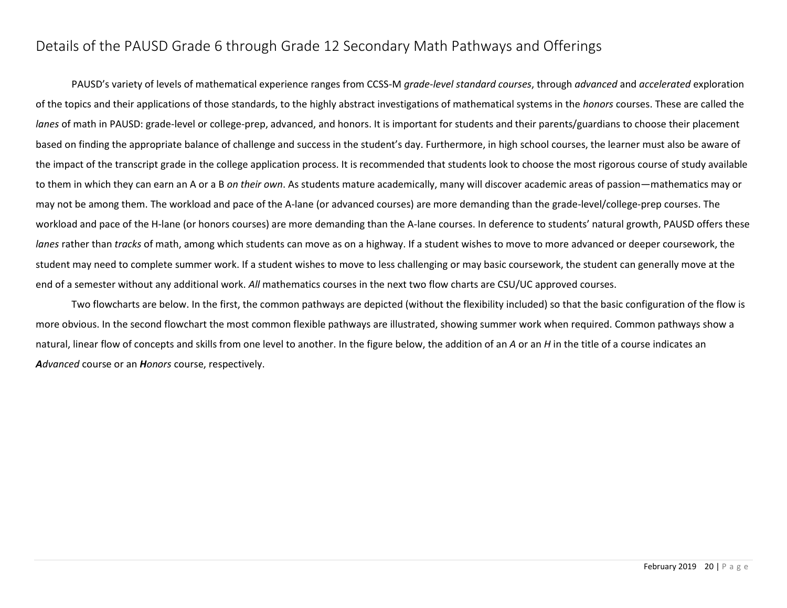# <span id="page-19-0"></span>Details of the PAUSD Grade 6 through Grade 12 Secondary Math Pathways and Offerings

PAUSD's variety of levels of mathematical experience ranges from CCSS-M *grade-level standard courses*, through *advanced* and *accelerated* exploration of the topics and their applications of those standards, to the highly abstract investigations of mathematical systems in the *honors* courses. These are called the *lanes* of math in PAUSD: grade-level or college-prep, advanced, and honors. It is important for students and their parents/guardians to choose their placement based on finding the appropriate balance of challenge and success in the student's day. Furthermore, in high school courses, the learner must also be aware of the impact of the transcript grade in the college application process. It is recommended that students look to choose the most rigorous course of study available to them in which they can earn an A or a B *on their own*. As students mature academically, many will discover academic areas of passion—mathematics may or may not be among them. The workload and pace of the A-lane (or advanced courses) are more demanding than the grade-level/college-prep courses. The workload and pace of the H-lane (or honors courses) are more demanding than the A-lane courses. In deference to students' natural growth, PAUSD offers these *lanes* rather than *tracks* of math, among which students can move as on a highway. If a student wishes to move to more advanced or deeper coursework, the student may need to complete summer work. If a student wishes to move to less challenging or may basic coursework, the student can generally move at the end of a semester without any additional work. *All* mathematics courses in the next two flow charts are CSU/UC approved courses.

Two flowcharts are below. In the first, the common pathways are depicted (without the flexibility included) so that the basic configuration of the flow is more obvious. In the second flowchart the most common flexible pathways are illustrated, showing summer work when required. Common pathways show a natural, linear flow of concepts and skills from one level to another. In the figure below, the addition of an *A* or an *H* in the title of a course indicates an *Advanced* course or an *Honors* course, respectively.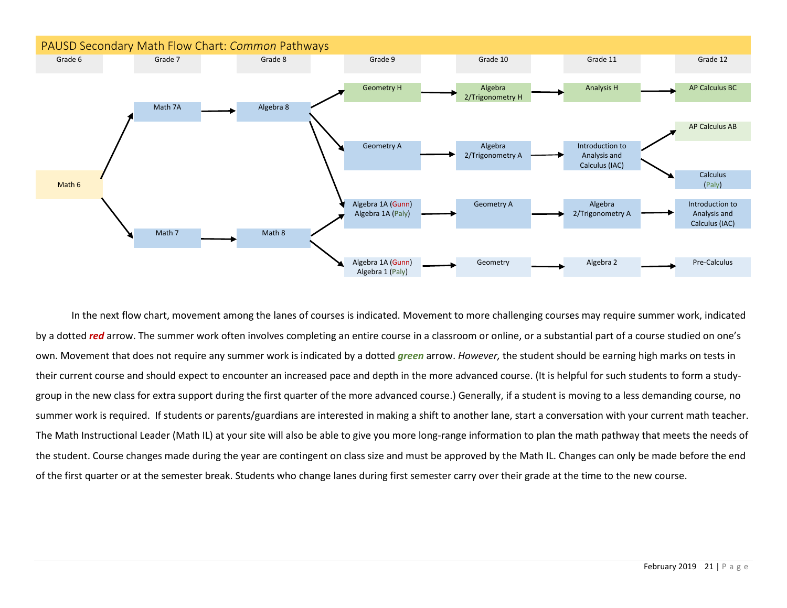<span id="page-20-0"></span>

In the next flow chart, movement among the lanes of courses is indicated. Movement to more challenging courses may require summer work, indicated by a dotted *red* arrow. The summer work often involves completing an entire course in a classroom or online, or a substantial part of a course studied on one's own. Movement that does not require any summer work is indicated by a dotted *green* arrow. *However,* the student should be earning high marks on tests in their current course and should expect to encounter an increased pace and depth in the more advanced course. (It is helpful for such students to form a studygroup in the new class for extra support during the first quarter of the more advanced course.) Generally, if a student is moving to a less demanding course, no summer work is required. If students or parents/guardians are interested in making a shift to another lane, start a conversation with your current math teacher. The Math Instructional Leader (Math IL) at your site will also be able to give you more long-range information to plan the math pathway that meets the needs of the student. Course changes made during the year are contingent on class size and must be approved by the Math IL. Changes can only be made before the end of the first quarter or at the semester break. Students who change lanes during first semester carry over their grade at the time to the new course.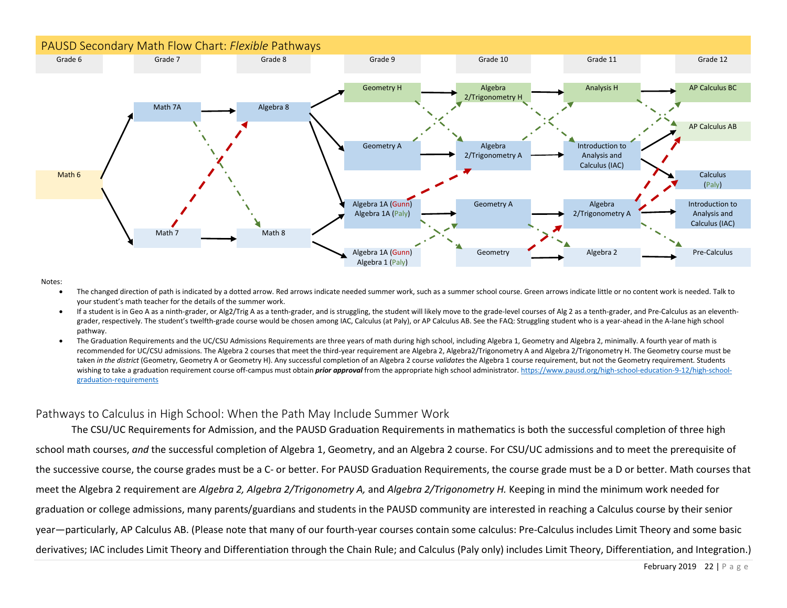<span id="page-21-0"></span>

Notes:

- The changed direction of path is indicated by a dotted arrow. Red arrows indicate needed summer work, such as a summer school course. Green arrows indicate little or no content work is needed. Talk to your student's math teacher for the details of the summer work.
- If a student is in Geo A as a ninth-grader, or Alg2/Trig A as a tenth-grader, and is struggling, the student will likely move to the grade-level courses of Alg 2 as a tenth-grader, and Pre-Calculus as an eleventhgrader, respectively. The student's twelfth-grade course would be chosen among IAC, Calculus (at Paly), or AP Calculus AB. See the FAQ: Struggling student who is a year-ahead in the A-lane high school pathway.
- The Graduation Requirements and the UC/CSU Admissions Requirements are three years of math during high school, including Algebra 1, Geometry and Algebra 2, minimally. A fourth year of math is recommended for UC/CSU admissions. The Algebra 2 courses that meet the third-year requirement are Algebra 2, Algebra 2/Trigonometry A and Algebra 2/Trigonometry H. The Geometry course must be taken *in the district* (Geometry, Geometry A or Geometry H). Any successful completion of an Algebra 2 course *validates* the Algebra 1 course requirement, but not the Geometry requirement. Students wishing to take a graduation requirement course off-campus must obtain *prior approval* from the appropriate high school administrator. [https://www.pausd.org/high-school-education-9-12/high-school](https://www.pausd.org/high-school-education-9-12/high-school-graduation-requirements)[graduation-requirements](https://www.pausd.org/high-school-education-9-12/high-school-graduation-requirements)

## <span id="page-21-1"></span>Pathways to Calculus in High School: When the Path May Include Summer Work

The CSU/UC Requirements for Admission, and the PAUSD Graduation Requirements in mathematics is both the successful completion of three high school math courses, *and* the successful completion of Algebra 1, Geometry, and an Algebra 2 course. For CSU/UC admissions and to meet the prerequisite of the successive course, the course grades must be a C- or better. For PAUSD Graduation Requirements, the course grade must be a D or better. Math courses that meet the Algebra 2 requirement are *Algebra 2, Algebra 2/Trigonometry A,* and *Algebra 2/Trigonometry H.* Keeping in mind the minimum work needed for graduation or college admissions, many parents/guardians and students in the PAUSD community are interested in reaching a Calculus course by their senior year—particularly, AP Calculus AB. (Please note that many of our fourth-year courses contain some calculus: Pre-Calculus includes Limit Theory and some basic derivatives; IAC includes Limit Theory and Differentiation through the Chain Rule; and Calculus (Paly only) includes Limit Theory, Differentiation, and Integration.)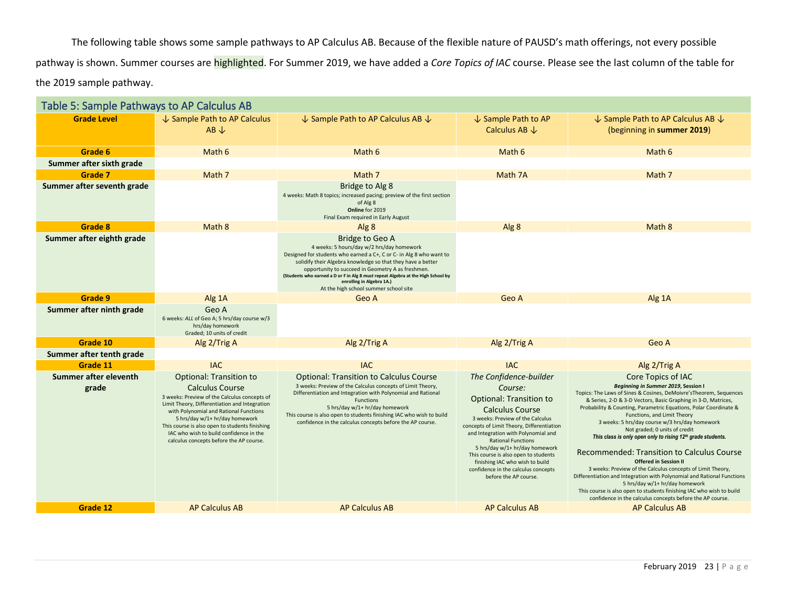The following table shows some sample pathways to AP Calculus AB. Because of the flexible nature of PAUSD's math offerings, not every possible pathway is shown. Summer courses are highlighted. For Summer 2019, we have added a *Core Topics of IAC* course. Please see the last column of the table for the 2019 sample pathway.

<span id="page-22-0"></span>

| Table 5: Sample Pathways to AP Calculus AB |                                                                                                                                                                                                                                                                                                                                                                               |                                                                                                                                                                                                                                                                                                                                                                                                                          |                                                                                                                                                                                                                                                                                                                                                                                                                                 |                                                                                                                                                                                                                                                                                                                                                                                                                                                                                                                                                                                                                                                                                                                                                                                                                                                                |
|--------------------------------------------|-------------------------------------------------------------------------------------------------------------------------------------------------------------------------------------------------------------------------------------------------------------------------------------------------------------------------------------------------------------------------------|--------------------------------------------------------------------------------------------------------------------------------------------------------------------------------------------------------------------------------------------------------------------------------------------------------------------------------------------------------------------------------------------------------------------------|---------------------------------------------------------------------------------------------------------------------------------------------------------------------------------------------------------------------------------------------------------------------------------------------------------------------------------------------------------------------------------------------------------------------------------|----------------------------------------------------------------------------------------------------------------------------------------------------------------------------------------------------------------------------------------------------------------------------------------------------------------------------------------------------------------------------------------------------------------------------------------------------------------------------------------------------------------------------------------------------------------------------------------------------------------------------------------------------------------------------------------------------------------------------------------------------------------------------------------------------------------------------------------------------------------|
| <b>Grade Level</b>                         | ↓ Sample Path to AP Calculus<br>$AB \downarrow$                                                                                                                                                                                                                                                                                                                               | $\downarrow$ Sample Path to AP Calculus AB $\downarrow$<br>$\downarrow$ Sample Path to AP<br>Calculus AB $\downarrow$                                                                                                                                                                                                                                                                                                    |                                                                                                                                                                                                                                                                                                                                                                                                                                 | $\downarrow$ Sample Path to AP Calculus AB $\downarrow$<br>(beginning in summer 2019)                                                                                                                                                                                                                                                                                                                                                                                                                                                                                                                                                                                                                                                                                                                                                                          |
| Grade 6                                    | Math 6                                                                                                                                                                                                                                                                                                                                                                        | Math 6                                                                                                                                                                                                                                                                                                                                                                                                                   | Math 6                                                                                                                                                                                                                                                                                                                                                                                                                          | Math 6                                                                                                                                                                                                                                                                                                                                                                                                                                                                                                                                                                                                                                                                                                                                                                                                                                                         |
| Summer after sixth grade                   |                                                                                                                                                                                                                                                                                                                                                                               |                                                                                                                                                                                                                                                                                                                                                                                                                          |                                                                                                                                                                                                                                                                                                                                                                                                                                 |                                                                                                                                                                                                                                                                                                                                                                                                                                                                                                                                                                                                                                                                                                                                                                                                                                                                |
| Grade 7                                    | Math 7                                                                                                                                                                                                                                                                                                                                                                        | Math 7                                                                                                                                                                                                                                                                                                                                                                                                                   | Math 7A                                                                                                                                                                                                                                                                                                                                                                                                                         | Math 7                                                                                                                                                                                                                                                                                                                                                                                                                                                                                                                                                                                                                                                                                                                                                                                                                                                         |
| Summer after seventh grade                 |                                                                                                                                                                                                                                                                                                                                                                               | Bridge to Alg 8<br>4 weeks: Math 8 topics; increased pacing; preview of the first section<br>of Alg 8<br>Online for 2019<br>Final Exam required in Early August                                                                                                                                                                                                                                                          |                                                                                                                                                                                                                                                                                                                                                                                                                                 |                                                                                                                                                                                                                                                                                                                                                                                                                                                                                                                                                                                                                                                                                                                                                                                                                                                                |
| Grade 8                                    | Math 8                                                                                                                                                                                                                                                                                                                                                                        | Alg 8                                                                                                                                                                                                                                                                                                                                                                                                                    | Alg 8                                                                                                                                                                                                                                                                                                                                                                                                                           | Math 8                                                                                                                                                                                                                                                                                                                                                                                                                                                                                                                                                                                                                                                                                                                                                                                                                                                         |
| Summer after eighth grade                  |                                                                                                                                                                                                                                                                                                                                                                               | <b>Bridge to Geo A</b><br>4 weeks: 5 hours/day w/2 hrs/day homework<br>Designed for students who earned a C+, C or C- in Alg 8 who want to<br>solidify their Algebra knowledge so that they have a better<br>opportunity to succeed in Geometry A as freshmen.<br>(Students who earned a D or F in Alg 8 must repeat Algebra at the High School by<br>enrolling in Algebra 1A.)<br>At the high school summer school site |                                                                                                                                                                                                                                                                                                                                                                                                                                 |                                                                                                                                                                                                                                                                                                                                                                                                                                                                                                                                                                                                                                                                                                                                                                                                                                                                |
| Grade 9                                    | Alg 1A                                                                                                                                                                                                                                                                                                                                                                        | Geo A                                                                                                                                                                                                                                                                                                                                                                                                                    | Geo A                                                                                                                                                                                                                                                                                                                                                                                                                           | Alg 1A                                                                                                                                                                                                                                                                                                                                                                                                                                                                                                                                                                                                                                                                                                                                                                                                                                                         |
| Summer after ninth grade                   | Geo A<br>6 weeks: ALL of Geo A; 5 hrs/day course w/3<br>hrs/day homework<br>Graded: 10 units of credit                                                                                                                                                                                                                                                                        |                                                                                                                                                                                                                                                                                                                                                                                                                          |                                                                                                                                                                                                                                                                                                                                                                                                                                 |                                                                                                                                                                                                                                                                                                                                                                                                                                                                                                                                                                                                                                                                                                                                                                                                                                                                |
| Grade 10                                   | Alg 2/Trig A                                                                                                                                                                                                                                                                                                                                                                  | Alg 2/Trig A                                                                                                                                                                                                                                                                                                                                                                                                             | Alg 2/Trig A                                                                                                                                                                                                                                                                                                                                                                                                                    | Geo A                                                                                                                                                                                                                                                                                                                                                                                                                                                                                                                                                                                                                                                                                                                                                                                                                                                          |
| Summer after tenth grade                   |                                                                                                                                                                                                                                                                                                                                                                               |                                                                                                                                                                                                                                                                                                                                                                                                                          |                                                                                                                                                                                                                                                                                                                                                                                                                                 |                                                                                                                                                                                                                                                                                                                                                                                                                                                                                                                                                                                                                                                                                                                                                                                                                                                                |
| Grade 11                                   | <b>IAC</b>                                                                                                                                                                                                                                                                                                                                                                    | <b>IAC</b>                                                                                                                                                                                                                                                                                                                                                                                                               | <b>IAC</b>                                                                                                                                                                                                                                                                                                                                                                                                                      | Alg 2/Trig A                                                                                                                                                                                                                                                                                                                                                                                                                                                                                                                                                                                                                                                                                                                                                                                                                                                   |
| Summer after eleventh<br>grade             | <b>Optional: Transition to</b><br><b>Calculus Course</b><br>3 weeks: Preview of the Calculus concepts of<br>Limit Theory, Differentiation and Integration<br>with Polynomial and Rational Functions<br>5 hrs/day w/1+ hr/day homework<br>This course is also open to students finishing<br>IAC who wish to build confidence in the<br>calculus concepts before the AP course. | <b>Optional: Transition to Calculus Course</b><br>3 weeks: Preview of the Calculus concepts of Limit Theory,<br>Differentiation and Integration with Polynomial and Rational<br>Functions<br>5 hrs/day w/1+ hr/day homework<br>This course is also open to students finishing IAC who wish to build<br>confidence in the calculus concepts before the AP course.                                                         | The Confidence-builder<br>Course:<br><b>Optional: Transition to</b><br><b>Calculus Course</b><br>3 weeks: Preview of the Calculus<br>concepts of Limit Theory, Differentiation<br>and Integration with Polynomial and<br><b>Rational Functions</b><br>5 hrs/day w/1+ hr/day homework<br>This course is also open to students<br>finishing IAC who wish to build<br>confidence in the calculus concepts<br>before the AP course. | Core Topics of IAC<br>Beginning in Summer 2019, Session I<br>Topics: The Laws of Sines & Cosines, DeMoivre's Theorem, Sequences<br>& Series, 2-D & 3-D Vectors, Basic Graphing in 3-D, Matrices,<br>Probability & Counting, Parametric Equations, Polar Coordinate &<br>Functions, and Limit Theory<br>3 weeks: 5 hrs/day course w/3 hrs/day homework<br>Not graded; 0 units of credit<br>This class is only open only to rising 12 <sup>th</sup> grade students.<br>Recommended: Transition to Calculus Course<br><b>Offered in Session II</b><br>3 weeks: Preview of the Calculus concepts of Limit Theory,<br>Differentiation and Integration with Polynomial and Rational Functions<br>5 hrs/day w/1+ hr/day homework<br>This course is also open to students finishing IAC who wish to build<br>confidence in the calculus concepts before the AP course. |
| Grade 12                                   | <b>AP Calculus AB</b>                                                                                                                                                                                                                                                                                                                                                         | <b>AP Calculus AB</b>                                                                                                                                                                                                                                                                                                                                                                                                    | <b>AP Calculus AB</b>                                                                                                                                                                                                                                                                                                                                                                                                           | <b>AP Calculus AB</b>                                                                                                                                                                                                                                                                                                                                                                                                                                                                                                                                                                                                                                                                                                                                                                                                                                          |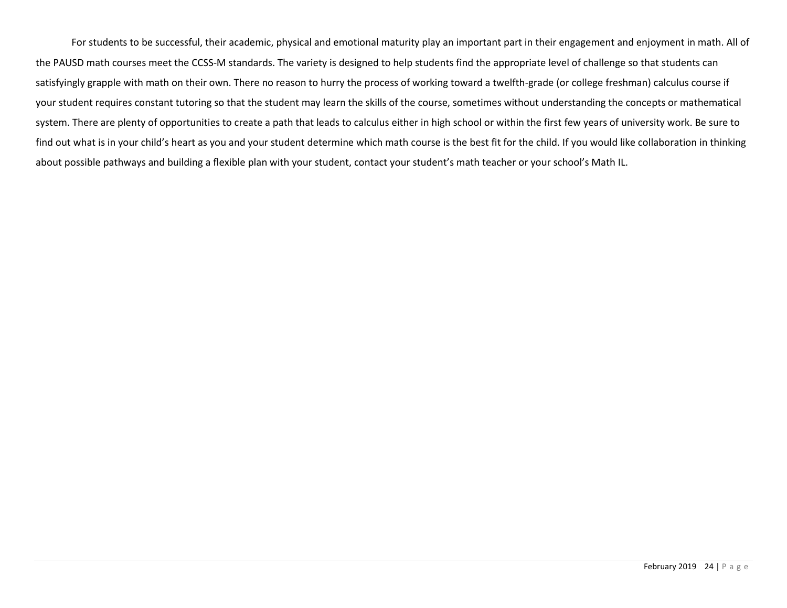<span id="page-23-0"></span>For students to be successful, their academic, physical and emotional maturity play an important part in their engagement and enjoyment in math. All of the PAUSD math courses meet the CCSS-M standards. The variety is designed to help students find the appropriate level of challenge so that students can satisfyingly grapple with math on their own. There no reason to hurry the process of working toward a twelfth-grade (or college freshman) calculus course if your student requires constant tutoring so that the student may learn the skills of the course, sometimes without understanding the concepts or mathematical system. There are plenty of opportunities to create a path that leads to calculus either in high school or within the first few years of university work. Be sure to find out what is in your child's heart as you and your student determine which math course is the best fit for the child. If you would like collaboration in thinking about possible pathways and building a flexible plan with your student, contact your student's math teacher or your school's Math IL.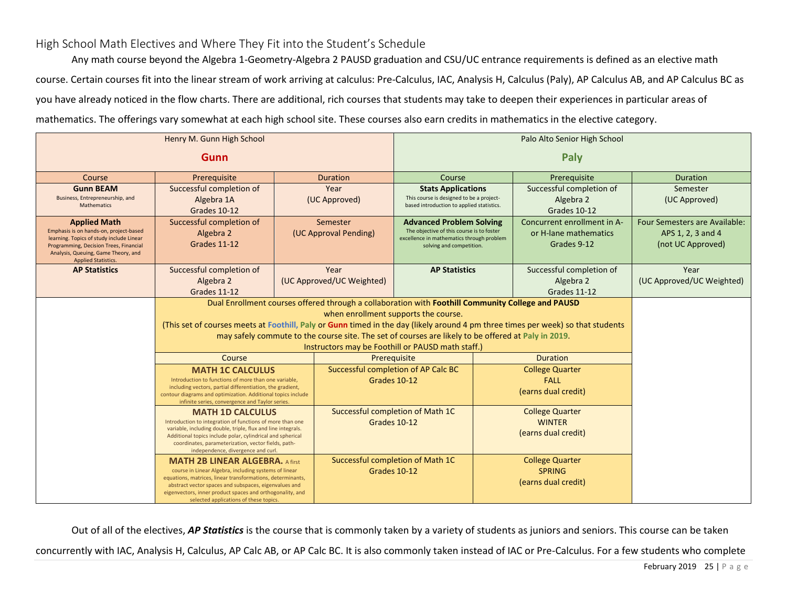## High School Math Electives and Where They Fit into the Student's Schedule

Any math course beyond the Algebra 1-Geometry-Algebra 2 PAUSD graduation and CSU/UC entrance requirements is defined as an elective math course. Certain courses fit into the linear stream of work arriving at calculus: Pre-Calculus, IAC, Analysis H, Calculus (Paly), AP Calculus AB, and AP Calculus BC as you have already noticed in the flow charts. There are additional, rich courses that students may take to deepen their experiences in particular areas of mathematics. The offerings vary somewhat at each high school site. These courses also earn credits in mathematics in the elective category.

|                                                                                                      |                                                                                                                                          |  |                                      | Palo Alto Senior High School                                                                        |                     |                                       |                               |
|------------------------------------------------------------------------------------------------------|------------------------------------------------------------------------------------------------------------------------------------------|--|--------------------------------------|-----------------------------------------------------------------------------------------------------|---------------------|---------------------------------------|-------------------------------|
|                                                                                                      |                                                                                                                                          |  |                                      | Paly                                                                                                |                     |                                       |                               |
| Course                                                                                               | Prerequisite                                                                                                                             |  | <b>Duration</b>                      | Course                                                                                              |                     | Prerequisite                          | Duration                      |
| <b>Gunn BEAM</b><br>Business, Entrepreneurship, and                                                  | Successful completion of<br>Algebra 1A                                                                                                   |  | Year<br>(UC Approved)                | <b>Stats Applications</b><br>This course is designed to be a project-                               |                     | Successful completion of<br>Algebra 2 | Semester<br>(UC Approved)     |
| <b>Mathematics</b>                                                                                   | Grades 10-12                                                                                                                             |  |                                      | based introduction to applied statistics.                                                           |                     | Grades 10-12                          |                               |
| <b>Applied Math</b>                                                                                  | Successful completion of                                                                                                                 |  | Semester                             | <b>Advanced Problem Solving</b>                                                                     |                     | Concurrent enrollment in A-           | Four Semesters are Available: |
| Emphasis is on hands-on, project-based<br>learning. Topics of study include Linear                   | Algebra 2                                                                                                                                |  | (UC Approval Pending)                | The objective of this course is to foster<br>excellence in mathematics through problem              |                     | or H-lane mathematics                 | APS 1, 2, 3 and 4             |
| Programming, Decision Trees, Financial<br>Analysis, Queuing, Game Theory, and<br>Applied Statistics. | Grades 11-12                                                                                                                             |  |                                      | solving and competition.                                                                            |                     | Grades 9-12                           | (not UC Approved)             |
| <b>AP Statistics</b>                                                                                 | Successful completion of                                                                                                                 |  | Year                                 | <b>AP Statistics</b>                                                                                |                     | Successful completion of              | Year                          |
|                                                                                                      | Algebra 2                                                                                                                                |  | (UC Approved/UC Weighted)            |                                                                                                     |                     | Algebra 2                             | (UC Approved/UC Weighted)     |
|                                                                                                      | Grades 11-12                                                                                                                             |  |                                      |                                                                                                     |                     | Grades 11-12                          |                               |
|                                                                                                      |                                                                                                                                          |  | when enrollment supports the course. | Dual Enrollment courses offered through a collaboration with Foothill Community College and PAUSD   |                     |                                       |                               |
|                                                                                                      | (This set of courses meets at Foothill, Paly or Gunn timed in the day (likely around 4 pm three times per week) so that students         |  |                                      |                                                                                                     |                     |                                       |                               |
|                                                                                                      |                                                                                                                                          |  |                                      | may safely commute to the course site. The set of courses are likely to be offered at Paly in 2019. |                     |                                       |                               |
|                                                                                                      |                                                                                                                                          |  |                                      | Instructors may be Foothill or PAUSD math staff.)                                                   |                     |                                       |                               |
|                                                                                                      | Course                                                                                                                                   |  |                                      | Prerequisite                                                                                        |                     | <b>Duration</b>                       |                               |
|                                                                                                      | <b>MATH 1C CALCULUS</b>                                                                                                                  |  |                                      | Successful completion of AP Calc BC                                                                 |                     | <b>College Quarter</b>                |                               |
|                                                                                                      | Introduction to functions of more than one variable,<br>including vectors, partial differentiation, the gradient,                        |  |                                      | Grades 10-12                                                                                        |                     | <b>FALL</b>                           |                               |
|                                                                                                      | contour diagrams and optimization. Additional topics include                                                                             |  |                                      |                                                                                                     |                     | (earns dual credit)                   |                               |
|                                                                                                      | infinite series, convergence and Taylor series.<br>Successful completion of Math 1C<br><b>College Quarter</b><br><b>MATH 1D CALCULUS</b> |  |                                      |                                                                                                     |                     |                                       |                               |
|                                                                                                      | <b>WINTER</b><br>Introduction to integration of functions of more than one<br>Grades 10-12                                               |  |                                      |                                                                                                     |                     |                                       |                               |
|                                                                                                      | variable, including double, triple, flux and line integrals.<br>Additional topics include polar, cylindrical and spherical               |  |                                      |                                                                                                     | (earns dual credit) |                                       |                               |
|                                                                                                      | coordinates, parameterization, vector fields, path-<br>independence, divergence and curl.                                                |  |                                      |                                                                                                     |                     |                                       |                               |
|                                                                                                      | <b>MATH 2B LINEAR ALGEBRA.</b> A first                                                                                                   |  |                                      | Successful completion of Math 1C                                                                    |                     | <b>College Quarter</b>                |                               |
|                                                                                                      | course in Linear Algebra, including systems of linear                                                                                    |  | Grades 10-12                         |                                                                                                     |                     | <b>SPRING</b>                         |                               |
|                                                                                                      | equations, matrices, linear transformations, determinants,<br>abstract vector spaces and subspaces, eigenvalues and                      |  |                                      |                                                                                                     |                     | (earns dual credit)                   |                               |
|                                                                                                      | eigenvectors, inner product spaces and orthogonality, and<br>selected applications of these topics.                                      |  |                                      |                                                                                                     |                     |                                       |                               |

Out of all of the electives, *AP Statistics* is the course that is commonly taken by a variety of students as juniors and seniors. This course can be taken

concurrently with IAC, Analysis H, Calculus, AP Calc AB, or AP Calc BC. It is also commonly taken instead of IAC or Pre-Calculus. For a few students who complete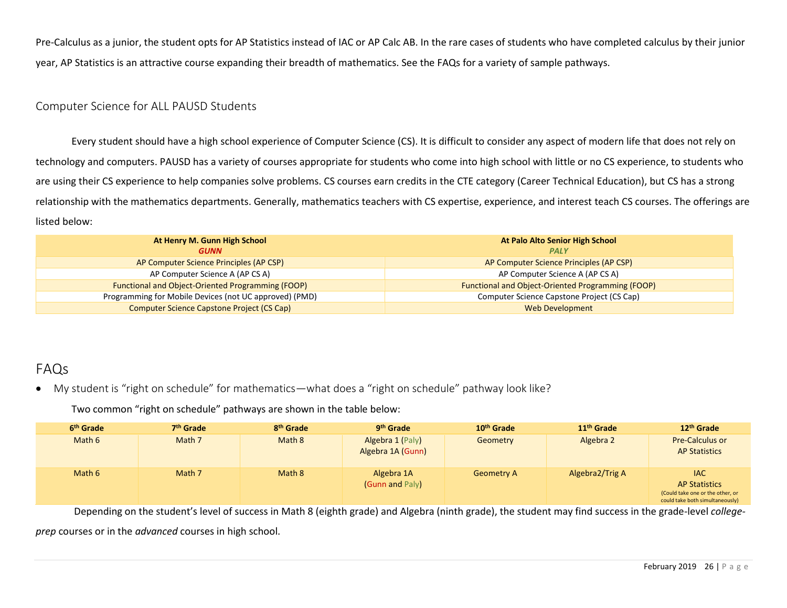Pre-Calculus as a junior, the student opts for AP Statistics instead of IAC or AP Calc AB. In the rare cases of students who have completed calculus by their junior year, AP Statistics is an attractive course expanding their breadth of mathematics. See the FAQs for a variety of sample pathways.

## <span id="page-25-0"></span>Computer Science for ALL PAUSD Students

Every student should have a high school experience of Computer Science (CS). It is difficult to consider any aspect of modern life that does not rely on technology and computers. PAUSD has a variety of courses appropriate for students who come into high school with little or no CS experience, to students who are using their CS experience to help companies solve problems. CS courses earn credits in the CTE category (Career Technical Education), but CS has a strong relationship with the mathematics departments. Generally, mathematics teachers with CS expertise, experience, and interest teach CS courses. The offerings are listed below:

| At Henry M. Gunn High School                             | At Palo Alto Senior High School                          |
|----------------------------------------------------------|----------------------------------------------------------|
| <b>GUNN</b>                                              | <b>PALY</b>                                              |
| AP Computer Science Principles (AP CSP)                  | AP Computer Science Principles (AP CSP)                  |
| AP Computer Science A (AP CS A)                          | AP Computer Science A (AP CS A)                          |
| <b>Functional and Object-Oriented Programming (FOOP)</b> | <b>Functional and Object-Oriented Programming (FOOP)</b> |
| Programming for Mobile Devices (not UC approved) (PMD)   | Computer Science Capstone Project (CS Cap)               |
| Computer Science Capstone Project (CS Cap)               | <b>Web Development</b>                                   |

# <span id="page-25-1"></span>FAQs

<span id="page-25-2"></span>• My student is "right on schedule" for mathematics—what does a "right on schedule" pathway look like?

Two common "right on schedule" pathways are shown in the table below:

| 6 <sup>th</sup> Grade | 7 <sup>th</sup> Grade | 8 <sup>th</sup> Grade | 9 <sup>th</sup> Grade                 | 10 <sup>th</sup> Grade | 11 <sup>th</sup> Grade | 12 <sup>th</sup> Grade                                                                                    |
|-----------------------|-----------------------|-----------------------|---------------------------------------|------------------------|------------------------|-----------------------------------------------------------------------------------------------------------|
| Math 6                | Math 7                | Math 8                | Algebra 1 (Paly)<br>Algebra 1A (Gunn) | Geometry               | Algebra 2              | <b>Pre-Calculus or</b><br><b>AP Statistics</b>                                                            |
| Math 6                | Math 7                | Math 8                | Algebra 1A<br>(Gunn and Paly)         | <b>Geometry A</b>      | Algebra2/Trig A        | <b>IAC</b><br><b>AP Statistics</b><br>(Could take one or the other, or<br>could take both simultaneously) |

Depending on the student's level of success in Math 8 (eighth grade) and Algebra (ninth grade), the student may find success in the grade-level *collegeprep* courses or in the *advanced* courses in high school.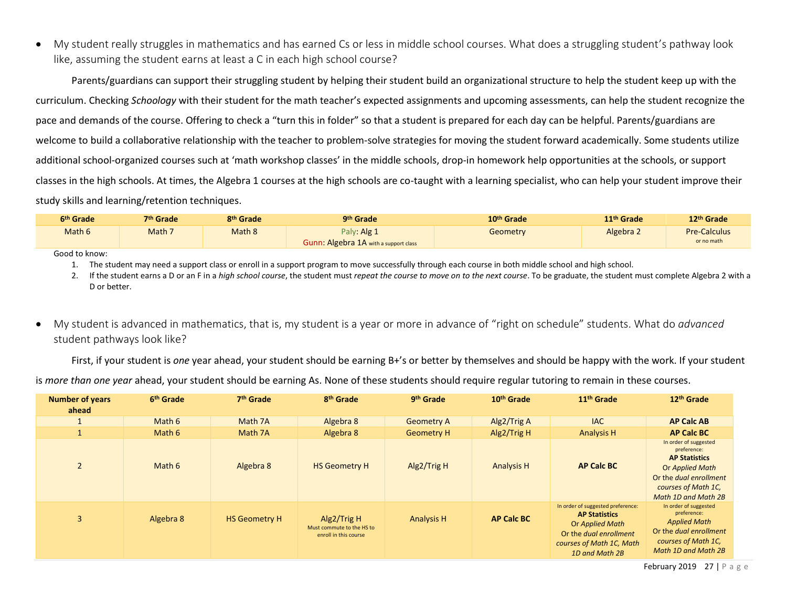<span id="page-26-0"></span>• My student really struggles in mathematics and has earned Cs or less in middle school courses. What does a struggling student's pathway look like, assuming the student earns at least a C in each high school course?

Parents/guardians can support their struggling student by helping their student build an organizational structure to help the student keep up with the curriculum. Checking *Schoology* with their student for the math teacher's expected assignments and upcoming assessments, can help the student recognize the pace and demands of the course. Offering to check a "turn this in folder" so that a student is prepared for each day can be helpful. Parents/guardians are welcome to build a collaborative relationship with the teacher to problem-solve strategies for moving the student forward academically. Some students utilize additional school-organized courses such at 'math workshop classes' in the middle schools, drop-in homework help opportunities at the schools, or support classes in the high schools. At times, the Algebra 1 courses at the high schools are co-taught with a learning specialist, who can help your student improve their study skills and learning/retention techniques.

| 5 <sup>th</sup> Grade | <b>7th Grade</b> | 8 <sup>th</sup> Grade | <b>Ath Grade</b>                                     | 10 <sup>th</sup> Grade | 11 <sup>th</sup> Grade | 12 <sup>th</sup> Grade            |
|-----------------------|------------------|-----------------------|------------------------------------------------------|------------------------|------------------------|-----------------------------------|
| Math 6                | Math 7           | Math 8                | Paly: Alg 1<br>Gunn: Algebra 1A with a support class | Geometry               | Algebra 2              | <b>Pre-Calculus</b><br>or no math |

Good to know:

1. The student may need a support class or enroll in a support program to move successfully through each course in both middle school and high school.

2. If the student earns a D or an F in a *high school course*, the student must *repeat the course to move on to the next course*. To be graduate, the student must complete Algebra 2 with a D or better.

<span id="page-26-1"></span>• My student is advanced in mathematics, that is, my student is a year or more in advance of "right on schedule" students. What do *advanced*  student pathways look like?

First, if your student is *one* year ahead, your student should be earning B+'s or better by themselves and should be happy with the work. If your student

is *more than one year* ahead, your student should be earning As. None of these students should require regular tutoring to remain in these courses.

| <b>Number of years</b><br>ahead | 6 <sup>th</sup> Grade | 7 <sup>th</sup> Grade | 8 <sup>th</sup> Grade                                             | 9 <sup>th</sup> Grade | 10 <sup>th</sup> Grade | 11 <sup>th</sup> Grade                                                                                                                               | 12 <sup>th</sup> Grade                                                                                                                                  |
|---------------------------------|-----------------------|-----------------------|-------------------------------------------------------------------|-----------------------|------------------------|------------------------------------------------------------------------------------------------------------------------------------------------------|---------------------------------------------------------------------------------------------------------------------------------------------------------|
|                                 | Math 6                | Math 7A               | Algebra 8                                                         | <b>Geometry A</b>     | Alg2/Trig A            | <b>IAC</b>                                                                                                                                           | <b>AP Calc AB</b>                                                                                                                                       |
|                                 | Math 6                | Math 7A               | Algebra 8                                                         | <b>Geometry H</b>     | Alg2/Trig H            | <b>Analysis H</b>                                                                                                                                    | <b>AP Calc BC</b>                                                                                                                                       |
| $\overline{2}$                  | Math 6                | Algebra 8             | <b>HS Geometry H</b>                                              | Alg2/Trig H           | <b>Analysis H</b>      | <b>AP Calc BC</b>                                                                                                                                    | In order of suggested<br>preference:<br><b>AP Statistics</b><br>Or Applied Math<br>Or the dual enrollment<br>courses of Math 1C,<br>Math 1D and Math 2B |
| 3                               | Algebra 8             | <b>HS Geometry H</b>  | Alg2/Trig H<br>Must commute to the HS to<br>enroll in this course | <b>Analysis H</b>     | <b>AP Calc BC</b>      | In order of suggested preference:<br><b>AP Statistics</b><br>Or Applied Math<br>Or the dual enrollment<br>courses of Math 1C, Math<br>1D and Math 2B | In order of suggested<br>preference:<br><b>Applied Math</b><br>Or the dual enrollment<br>courses of Math 1C,<br>Math 1D and Math 2B                     |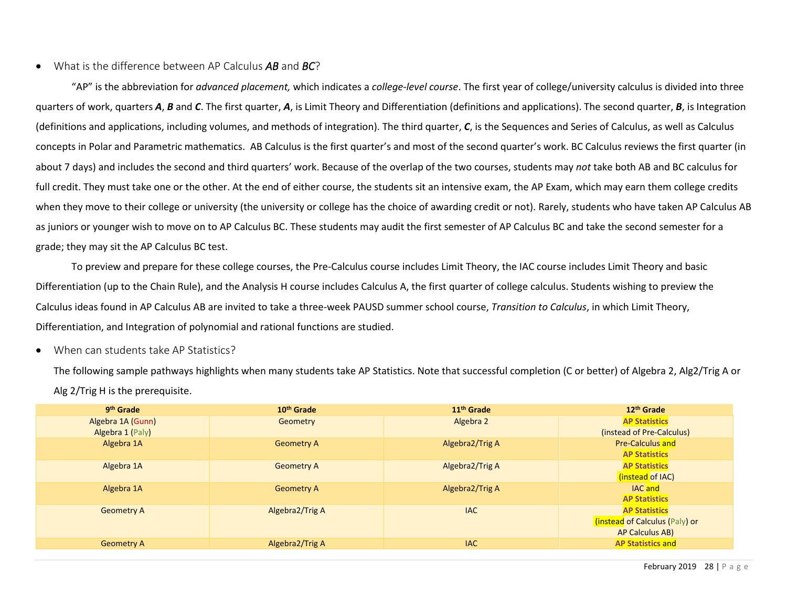## <span id="page-27-0"></span>• What is the difference between AP Calculus *AB* and *BC*?

"AP" is the abbreviation for *advanced placement,* which indicates a *college-level course*. The first year of college/university calculus is divided into three quarters of work, quarters *A*, *B* and *C*. The first quarter, *A*, is Limit Theory and Differentiation (definitions and applications). The second quarter, *B*, is Integration (definitions and applications, including volumes, and methods of integration). The third quarter, *C*, is the Sequences and Series of Calculus, as well as Calculus concepts in Polar and Parametric mathematics. AB Calculus is the first quarter's and most of the second quarter's work. BC Calculus reviews the first quarter (in about 7 days) and includes the second and third quarters' work. Because of the overlap of the two courses, students may *not* take both AB and BC calculus for full credit. They must take one or the other. At the end of either course, the students sit an intensive exam, the AP Exam, which may earn them college credits when they move to their college or university (the university or college has the choice of awarding credit or not). Rarely, students who have taken AP Calculus AB as juniors or younger wish to move on to AP Calculus BC. These students may audit the first semester of AP Calculus BC and take the second semester for a grade; they may sit the AP Calculus BC test.

To preview and prepare for these college courses, the Pre-Calculus course includes Limit Theory, the IAC course includes Limit Theory and basic Differentiation (up to the Chain Rule), and the Analysis H course includes Calculus A, the first quarter of college calculus. Students wishing to preview the Calculus ideas found in AP Calculus AB are invited to take a three-week PAUSD summer school course, *Transition to Calculus*, in which Limit Theory, Differentiation, and Integration of polynomial and rational functions are studied.

#### <span id="page-27-1"></span>• When can students take AP Statistics?

The following sample pathways highlights when many students take AP Statistics. Note that successful completion (C or better) of Algebra 2, Alg2/Trig A or Alg 2/Trig H is the prerequisite.

| 9 <sup>th</sup> Grade | 10 <sup>th</sup> Grade | 11 <sup>th</sup> Grade | 12 <sup>th</sup> Grade         |
|-----------------------|------------------------|------------------------|--------------------------------|
| Algebra 1A (Gunn)     | Geometry               | Algebra 2              | <b>AP Statistics</b>           |
| Algebra 1 (Paly)      |                        |                        | (instead of Pre-Calculus)      |
| Algebra 1A            | <b>Geometry A</b>      | Algebra2/Trig A        | <b>Pre-Calculus and</b>        |
|                       |                        |                        | <b>AP Statistics</b>           |
| Algebra 1A            | <b>Geometry A</b>      | Algebra2/Trig A        | <b>AP Statistics</b>           |
|                       |                        |                        | (instead of IAC)               |
| Algebra 1A            | <b>Geometry A</b>      | Algebra2/Trig A        | <b>IAC</b> and                 |
|                       |                        |                        | <b>AP Statistics</b>           |
| <b>Geometry A</b>     | Algebra2/Trig A        | <b>IAC</b>             | <b>AP Statistics</b>           |
|                       |                        |                        | (instead of Calculus (Paly) or |
|                       |                        |                        | AP Calculus AB)                |
| <b>Geometry A</b>     | Algebra2/Trig A        | <b>IAC</b>             | <b>AP Statistics and</b>       |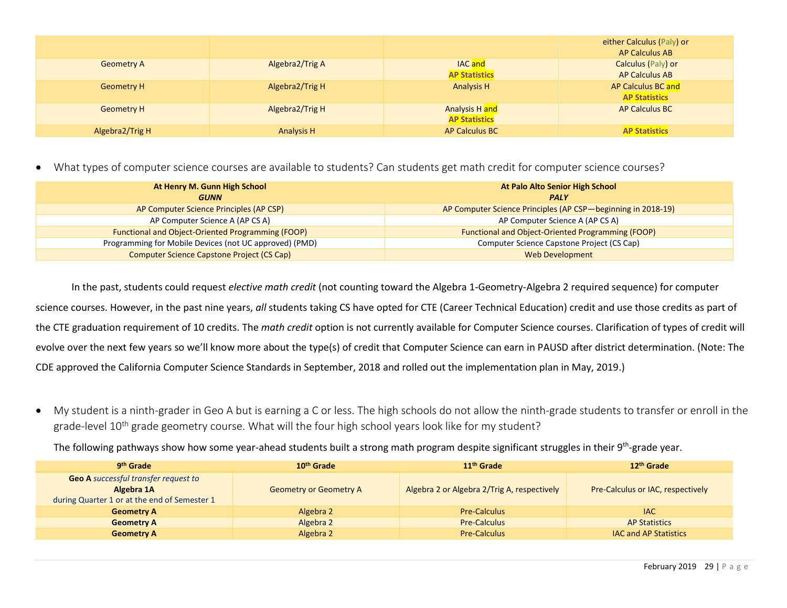|                   |                   |                                        | either Calculus (Paly) or<br><b>AP Calculus AB</b> |
|-------------------|-------------------|----------------------------------------|----------------------------------------------------|
| <b>Geometry A</b> | Algebra2/Trig A   | <b>IAC</b> and<br><b>AP Statistics</b> | Calculus (Paly) or<br><b>AP Calculus AB</b>        |
| <b>Geometry H</b> | Algebra2/Trig H   | <b>Analysis H</b>                      | AP Calculus BC and<br><b>AP Statistics</b>         |
| <b>Geometry H</b> | Algebra2/Trig H   | Analysis H and<br><b>AP Statistics</b> | <b>AP Calculus BC</b>                              |
| Algebra2/Trig H   | <b>Analysis H</b> | <b>AP Calculus BC</b>                  | <b>AP Statistics</b>                               |

<span id="page-28-0"></span>• What types of computer science courses are available to students? Can students get math credit for computer science courses?

| At Henry M. Gunn High School<br><b>GUNN</b>              | At Palo Alto Senior High School<br><b>PALY</b>               |
|----------------------------------------------------------|--------------------------------------------------------------|
| AP Computer Science Principles (AP CSP)                  | AP Computer Science Principles (AP CSP—beginning in 2018-19) |
| AP Computer Science A (AP CS A)                          | AP Computer Science A (AP CS A)                              |
| <b>Functional and Object-Oriented Programming (FOOP)</b> | Functional and Object-Oriented Programming (FOOP)            |
| Programming for Mobile Devices (not UC approved) (PMD)   | Computer Science Capstone Project (CS Cap)                   |
| Computer Science Capstone Project (CS Cap)               | <b>Web Development</b>                                       |

In the past, students could request *elective math credit* (not counting toward the Algebra 1-Geometry-Algebra 2 required sequence) for computer science courses. However, in the past nine years, *all* students taking CS have opted for CTE (Career Technical Education) credit and use those credits as part of the CTE graduation requirement of 10 credits. The *math credit* option is not currently available for Computer Science courses. Clarification of types of credit will evolve over the next few years so we'll know more about the type(s) of credit that Computer Science can earn in PAUSD after district determination. (Note: The CDE approved the California Computer Science Standards in September, 2018 and rolled out the implementation plan in May, 2019.)

<span id="page-28-1"></span>• My student is a ninth-grader in Geo A but is earning a C or less. The high schools do not allow the ninth-grade students to transfer or enroll in the grade-level 10<sup>th</sup> grade geometry course. What will the four high school years look like for my student?

The following pathways show how some year-ahead students built a strong math program despite significant struggles in their 9<sup>th</sup>-grade year.

| 9 <sup>th</sup> Grade                                                                                     | 10 <sup>th</sup> Grade        | 11 <sup>th</sup> Grade                      | 12 <sup>th</sup> Grade                   |
|-----------------------------------------------------------------------------------------------------------|-------------------------------|---------------------------------------------|------------------------------------------|
| <b>Geo A</b> successful transfer request to<br>Algebra 1A<br>during Quarter 1 or at the end of Semester 1 | <b>Geometry or Geometry A</b> | Algebra 2 or Algebra 2/Trig A, respectively | <b>Pre-Calculus or IAC, respectively</b> |
| <b>Geometry A</b>                                                                                         | Algebra 2                     | <b>Pre-Calculus</b>                         | <b>IAC</b>                               |
| <b>Geometry A</b>                                                                                         | Algebra 2                     | <b>Pre-Calculus</b>                         | <b>AP Statistics</b>                     |
| <b>Geometry A</b>                                                                                         | Algebra 2                     | <b>Pre-Calculus</b>                         | <b>IAC and AP Statistics</b>             |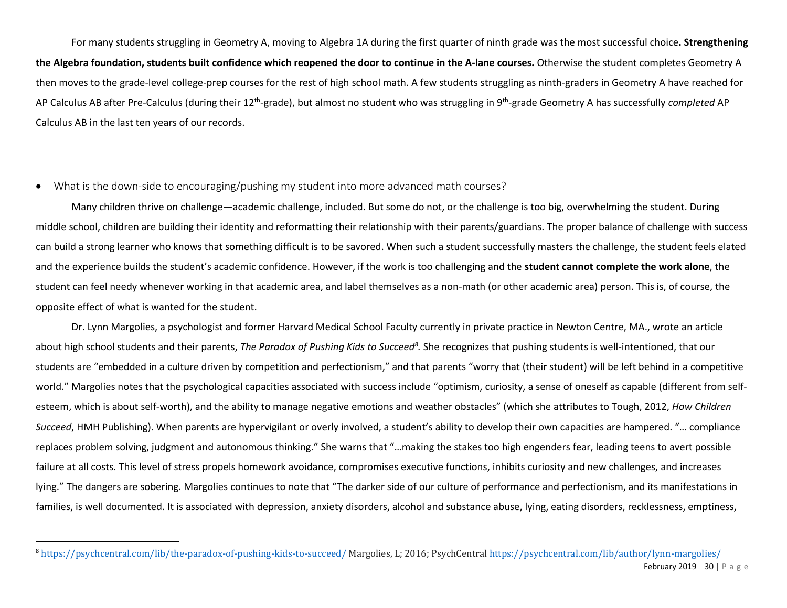For many students struggling in Geometry A, moving to Algebra 1A during the first quarter of ninth grade was the most successful choice**. Strengthening the Algebra foundation, students built confidence which reopened the door to continue in the A-lane courses.** Otherwise the student completes Geometry A then moves to the grade-level college-prep courses for the rest of high school math. A few students struggling as ninth-graders in Geometry A have reached for AP Calculus AB after Pre-Calculus (during their 12<sup>th</sup>-grade), but almost no student who was struggling in 9<sup>th</sup>-grade Geometry A has successfully *completed* AP Calculus AB in the last ten years of our records.

## <span id="page-29-0"></span>• What is the down-side to encouraging/pushing my student into more advanced math courses?

Many children thrive on challenge—academic challenge, included. But some do not, or the challenge is too big, overwhelming the student. During middle school, children are building their identity and reformatting their relationship with their parents/guardians. The proper balance of challenge with success can build a strong learner who knows that something difficult is to be savored. When such a student successfully masters the challenge, the student feels elated and the experience builds the student's academic confidence. However, if the work is too challenging and the **student cannot complete the work alone**, the student can feel needy whenever working in that academic area, and label themselves as a non-math (or other academic area) person. This is, of course, the opposite effect of what is wanted for the student.

Dr. Lynn Margolies, a psychologist and former Harvard Medical School Faculty currently in private practice in Newton Centre, MA., wrote an article about high school students and their parents, *The Paradox of Pushing Kids to Succeed<sup>8</sup>.* She recognizes that pushing students is well-intentioned, that our students are "embedded in a culture driven by competition and perfectionism," and that parents "worry that (their student) will be left behind in a competitive world." Margolies notes that the psychological capacities associated with success include "optimism, curiosity, a sense of oneself as capable (different from selfesteem, which is about self-worth), and the ability to manage negative emotions and weather obstacles" (which she attributes to Tough, 2012, *How Children Succeed*, HMH Publishing). When parents are hypervigilant or overly involved, a student's ability to develop their own capacities are hampered. "… compliance replaces problem solving, judgment and autonomous thinking." She warns that "…making the stakes too high engenders fear, leading teens to avert possible failure at all costs. This level of stress propels homework avoidance, compromises executive functions, inhibits curiosity and new challenges, and increases lying." The dangers are sobering. Margolies continues to note that "The darker side of our culture of performance and perfectionism, and its manifestations in families, is well documented. It is associated with depression, anxiety disorders, alcohol and substance abuse, lying, eating disorders, recklessness, emptiness,

<sup>8</sup> <https://psychcentral.com/lib/the-paradox-of-pushing-kids-to-succeed/> Margolies, L; 2016; PsychCentral <https://psychcentral.com/lib/author/lynn-margolies/>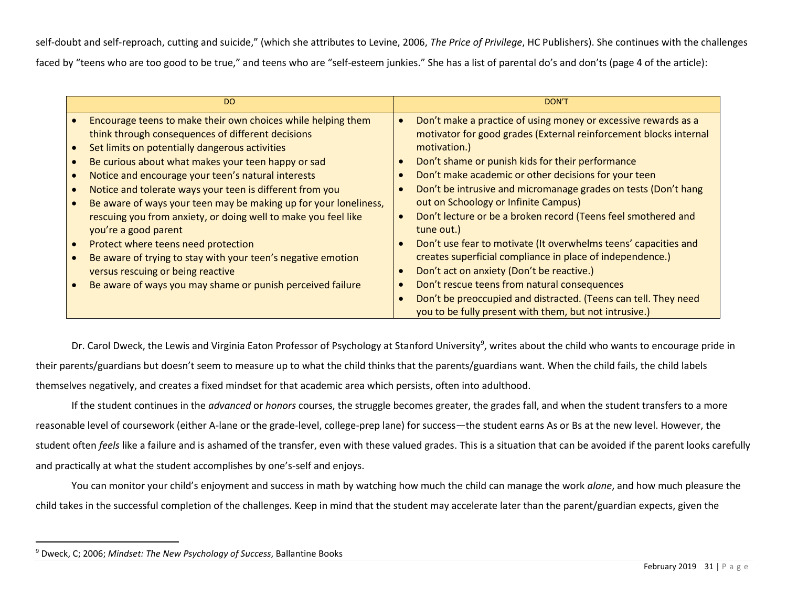self-doubt and self-reproach, cutting and suicide," (which she attributes to Levine, 2006, *The Price of Privilege*, HC Publishers). She continues with the challenges

faced by "teens who are too good to be true," and teens who are "self-esteem junkies." She has a list of parental do's and don'ts (page 4 of the article):

Dr. Carol Dweck, the Lewis and Virginia Eaton Professor of Psychology at Stanford University<sup>9</sup>, writes about the child who wants to encourage pride in their parents/guardians but doesn't seem to measure up to what the child thinks that the parents/guardians want. When the child fails, the child labels themselves negatively, and creates a fixed mindset for that academic area which persists, often into adulthood.

If the student continues in the *advanced* or *honors* courses, the struggle becomes greater, the grades fall, and when the student transfers to a more reasonable level of coursework (either A-lane or the grade-level, college-prep lane) for success—the student earns As or Bs at the new level. However, the student often *feels* like a failure and is ashamed of the transfer, even with these valued grades. This is a situation that can be avoided if the parent looks carefully and practically at what the student accomplishes by one's-self and enjoys.

You can monitor your child's enjoyment and success in math by watching how much the child can manage the work *alone*, and how much pleasure the child takes in the successful completion of the challenges. Keep in mind that the student may accelerate later than the parent/guardian expects, given the

<sup>9</sup> Dweck, C; 2006; *Mindset: The New Psychology of Success*, Ballantine Books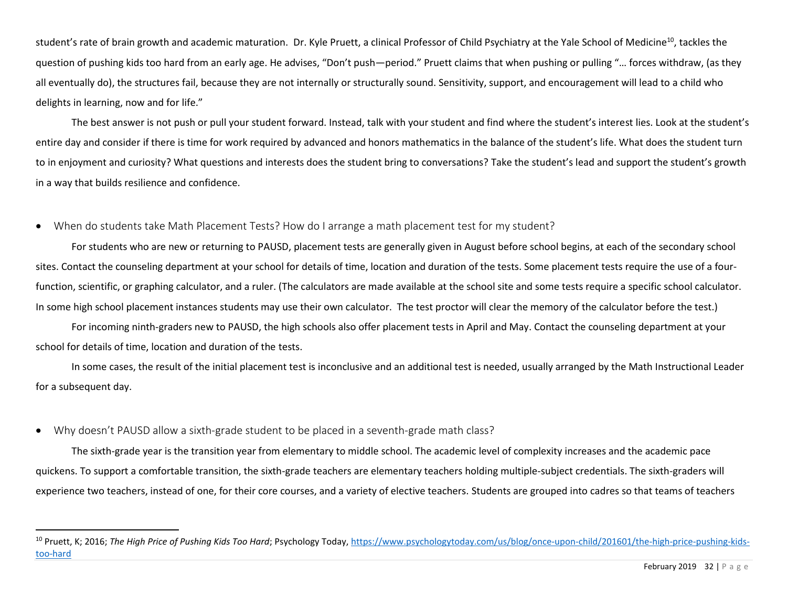student's rate of brain growth and academic maturation. Dr. Kyle Pruett, a clinical Professor of Child Psychiatry at the Yale School of Medicine<sup>10</sup>, tackles the question of pushing kids too hard from an early age. He advises, "Don't push—period." Pruett claims that when pushing or pulling "… forces withdraw, (as they all eventually do), the structures fail, because they are not internally or structurally sound. Sensitivity, support, and encouragement will lead to a child who delights in learning, now and for life."

The best answer is not push or pull your student forward. Instead, talk with your student and find where the student's interest lies. Look at the student's entire day and consider if there is time for work required by advanced and honors mathematics in the balance of the student's life. What does the student turn to in enjoyment and curiosity? What questions and interests does the student bring to conversations? Take the student's lead and support the student's growth in a way that builds resilience and confidence.

#### <span id="page-31-0"></span>• When do students take Math Placement Tests? How do I arrange a math placement test for my student?

For students who are new or returning to PAUSD, placement tests are generally given in August before school begins, at each of the secondary school sites. Contact the counseling department at your school for details of time, location and duration of the tests. Some placement tests require the use of a fourfunction, scientific, or graphing calculator, and a ruler. (The calculators are made available at the school site and some tests require a specific school calculator. In some high school placement instances students may use their own calculator. The test proctor will clear the memory of the calculator before the test.)

For incoming ninth-graders new to PAUSD, the high schools also offer placement tests in April and May. Contact the counseling department at your school for details of time, location and duration of the tests.

In some cases, the result of the initial placement test is inconclusive and an additional test is needed, usually arranged by the Math Instructional Leader for a subsequent day.

## <span id="page-31-1"></span>• Why doesn't PAUSD allow a sixth-grade student to be placed in a seventh-grade math class?

The sixth-grade year is the transition year from elementary to middle school. The academic level of complexity increases and the academic pace quickens. To support a comfortable transition, the sixth-grade teachers are elementary teachers holding multiple-subject credentials. The sixth-graders will experience two teachers, instead of one, for their core courses, and a variety of elective teachers. Students are grouped into cadres so that teams of teachers

<sup>10</sup> Pruett, K; 2016; *The High Price of Pushing Kids Too Hard*; Psychology Today, [https://www.psychologytoday.com/us/blog/once-upon-child/201601/the-high-price-pushing-kids](https://www.psychologytoday.com/us/blog/once-upon-child/201601/the-high-price-pushing-kids-too-hard)[too-hard](https://www.psychologytoday.com/us/blog/once-upon-child/201601/the-high-price-pushing-kids-too-hard)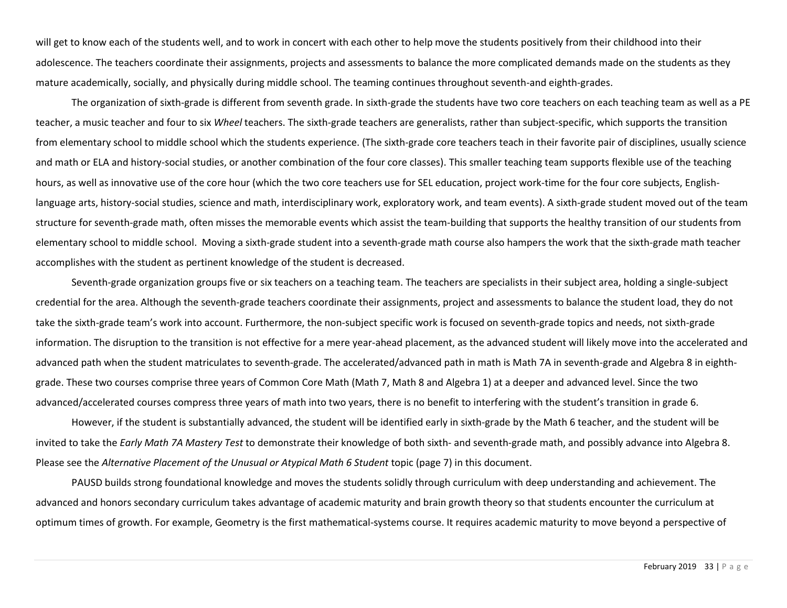will get to know each of the students well, and to work in concert with each other to help move the students positively from their childhood into their adolescence. The teachers coordinate their assignments, projects and assessments to balance the more complicated demands made on the students as they mature academically, socially, and physically during middle school. The teaming continues throughout seventh-and eighth-grades.

The organization of sixth-grade is different from seventh grade. In sixth-grade the students have two core teachers on each teaching team as well as a PE teacher, a music teacher and four to six *Wheel* teachers. The sixth-grade teachers are generalists, rather than subject-specific, which supports the transition from elementary school to middle school which the students experience. (The sixth-grade core teachers teach in their favorite pair of disciplines, usually science and math or ELA and history-social studies, or another combination of the four core classes). This smaller teaching team supports flexible use of the teaching hours, as well as innovative use of the core hour (which the two core teachers use for SEL education, project work-time for the four core subjects, Englishlanguage arts, history-social studies, science and math, interdisciplinary work, exploratory work, and team events). A sixth-grade student moved out of the team structure for seventh-grade math, often misses the memorable events which assist the team-building that supports the healthy transition of our students from elementary school to middle school. Moving a sixth-grade student into a seventh-grade math course also hampers the work that the sixth-grade math teacher accomplishes with the student as pertinent knowledge of the student is decreased.

Seventh-grade organization groups five or six teachers on a teaching team. The teachers are specialists in their subject area, holding a single-subject credential for the area. Although the seventh-grade teachers coordinate their assignments, project and assessments to balance the student load, they do not take the sixth-grade team's work into account. Furthermore, the non-subject specific work is focused on seventh-grade topics and needs, not sixth-grade information. The disruption to the transition is not effective for a mere year-ahead placement, as the advanced student will likely move into the accelerated and advanced path when the student matriculates to seventh-grade. The accelerated/advanced path in math is Math 7A in seventh-grade and Algebra 8 in eighthgrade. These two courses comprise three years of Common Core Math (Math 7, Math 8 and Algebra 1) at a deeper and advanced level. Since the two advanced/accelerated courses compress three years of math into two years, there is no benefit to interfering with the student's transition in grade 6.

However, if the student is substantially advanced, the student will be identified early in sixth-grade by the Math 6 teacher, and the student will be invited to take the *Early Math 7A Mastery Test* to demonstrate their knowledge of both sixth- and seventh-grade math, and possibly advance into Algebra 8. Please see the *Alternative Placement of the Unusual or Atypical Math 6 Student* topic (page 7) in this document.

PAUSD builds strong foundational knowledge and moves the students solidly through curriculum with deep understanding and achievement. The advanced and honors secondary curriculum takes advantage of academic maturity and brain growth theory so that students encounter the curriculum at optimum times of growth. For example, Geometry is the first mathematical-systems course. It requires academic maturity to move beyond a perspective of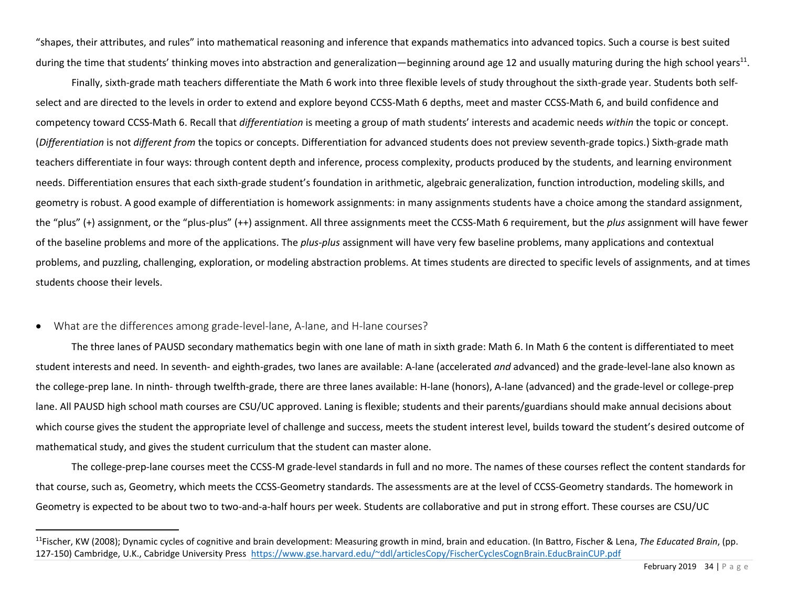"shapes, their attributes, and rules" into mathematical reasoning and inference that expands mathematics into advanced topics. Such a course is best suited during the time that students' thinking moves into abstraction and generalization—beginning around age 12 and usually maturing during the high school years<sup>11</sup>.

Finally, sixth-grade math teachers differentiate the Math 6 work into three flexible levels of study throughout the sixth-grade year. Students both selfselect and are directed to the levels in order to extend and explore beyond CCSS-Math 6 depths, meet and master CCSS-Math 6, and build confidence and competency toward CCSS-Math 6. Recall that *differentiation* is meeting a group of math students' interests and academic needs *within* the topic or concept. (*Differentiation* is not *different from* the topics or concepts. Differentiation for advanced students does not preview seventh-grade topics.) Sixth-grade math teachers differentiate in four ways: through content depth and inference, process complexity, products produced by the students, and learning environment needs. Differentiation ensures that each sixth-grade student's foundation in arithmetic, algebraic generalization, function introduction, modeling skills, and geometry is robust. A good example of differentiation is homework assignments: in many assignments students have a choice among the standard assignment, the "plus" (+) assignment, or the "plus-plus" (++) assignment. All three assignments meet the CCSS-Math 6 requirement, but the *plus* assignment will have fewer of the baseline problems and more of the applications. The *plus-plus* assignment will have very few baseline problems, many applications and contextual problems, and puzzling, challenging, exploration, or modeling abstraction problems. At times students are directed to specific levels of assignments, and at times students choose their levels.

#### <span id="page-33-0"></span>• What are the differences among grade-level-lane, A-lane, and H-lane courses?

The three lanes of PAUSD secondary mathematics begin with one lane of math in sixth grade: Math 6. In Math 6 the content is differentiated to meet student interests and need. In seventh- and eighth-grades, two lanes are available: A-lane (accelerated *and* advanced) and the grade-level-lane also known as the college-prep lane. In ninth- through twelfth-grade, there are three lanes available: H-lane (honors), A-lane (advanced) and the grade-level or college-prep lane. All PAUSD high school math courses are CSU/UC approved. Laning is flexible; students and their parents/guardians should make annual decisions about which course gives the student the appropriate level of challenge and success, meets the student interest level, builds toward the student's desired outcome of mathematical study, and gives the student curriculum that the student can master alone.

The college-prep-lane courses meet the CCSS-M grade-level standards in full and no more. The names of these courses reflect the content standards for that course, such as, Geometry, which meets the CCSS-Geometry standards. The assessments are at the level of CCSS-Geometry standards. The homework in Geometry is expected to be about two to two-and-a-half hours per week. Students are collaborative and put in strong effort. These courses are CSU/UC

<sup>11</sup>Fischer, KW (2008); Dynamic cycles of cognitive and brain development: Measuring growth in mind, brain and education. (In Battro, Fischer & Lena, *The Educated Brain*, (pp. 127-150) Cambridge, U.K., Cabridge University Press<https://www.gse.harvard.edu/~ddl/articlesCopy/FischerCyclesCognBrain.EducBrainCUP.pdf>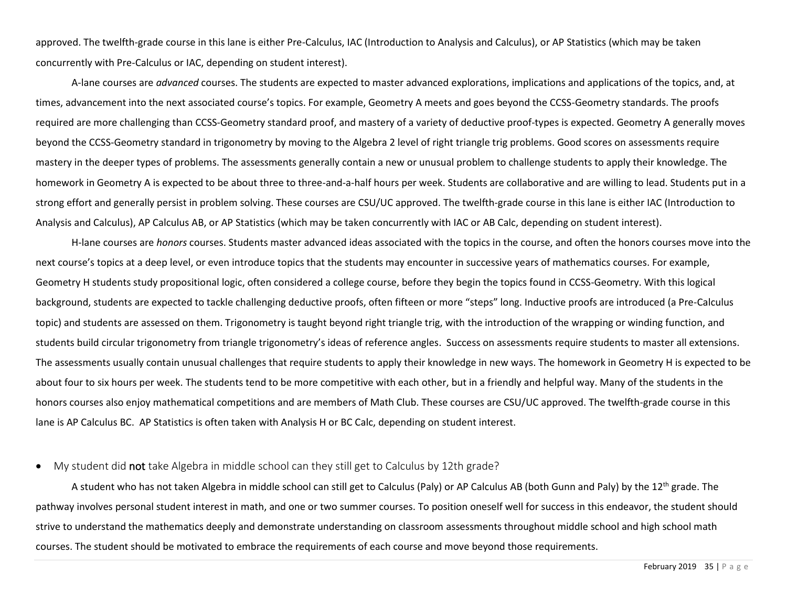approved. The twelfth-grade course in this lane is either Pre-Calculus, IAC (Introduction to Analysis and Calculus), or AP Statistics (which may be taken concurrently with Pre-Calculus or IAC, depending on student interest).

A-lane courses are *advanced* courses. The students are expected to master advanced explorations, implications and applications of the topics, and, at times, advancement into the next associated course's topics. For example, Geometry A meets and goes beyond the CCSS-Geometry standards. The proofs required are more challenging than CCSS-Geometry standard proof, and mastery of a variety of deductive proof-types is expected. Geometry A generally moves beyond the CCSS-Geometry standard in trigonometry by moving to the Algebra 2 level of right triangle trig problems. Good scores on assessments require mastery in the deeper types of problems. The assessments generally contain a new or unusual problem to challenge students to apply their knowledge. The homework in Geometry A is expected to be about three to three-and-a-half hours per week. Students are collaborative and are willing to lead. Students put in a strong effort and generally persist in problem solving. These courses are CSU/UC approved. The twelfth-grade course in this lane is either IAC (Introduction to Analysis and Calculus), AP Calculus AB, or AP Statistics (which may be taken concurrently with IAC or AB Calc, depending on student interest).

H-lane courses are *honors* courses. Students master advanced ideas associated with the topics in the course, and often the honors courses move into the next course's topics at a deep level, or even introduce topics that the students may encounter in successive years of mathematics courses. For example, Geometry H students study propositional logic, often considered a college course, before they begin the topics found in CCSS-Geometry. With this logical background, students are expected to tackle challenging deductive proofs, often fifteen or more "steps" long. Inductive proofs are introduced (a Pre-Calculus topic) and students are assessed on them. Trigonometry is taught beyond right triangle trig, with the introduction of the wrapping or winding function, and students build circular trigonometry from triangle trigonometry's ideas of reference angles. Success on assessments require students to master all extensions. The assessments usually contain unusual challenges that require students to apply their knowledge in new ways. The homework in Geometry H is expected to be about four to six hours per week. The students tend to be more competitive with each other, but in a friendly and helpful way. Many of the students in the honors courses also enjoy mathematical competitions and are members of Math Club. These courses are CSU/UC approved. The twelfth-grade course in this lane is AP Calculus BC. AP Statistics is often taken with Analysis H or BC Calc, depending on student interest.

#### <span id="page-34-0"></span>• My student did not take Algebra in middle school can they still get to Calculus by 12th grade?

A student who has not taken Algebra in middle school can still get to Calculus (Paly) or AP Calculus AB (both Gunn and Paly) by the 12<sup>th</sup> grade. The pathway involves personal student interest in math, and one or two summer courses. To position oneself well for success in this endeavor, the student should strive to understand the mathematics deeply and demonstrate understanding on classroom assessments throughout middle school and high school math courses. The student should be motivated to embrace the requirements of each course and move beyond those requirements.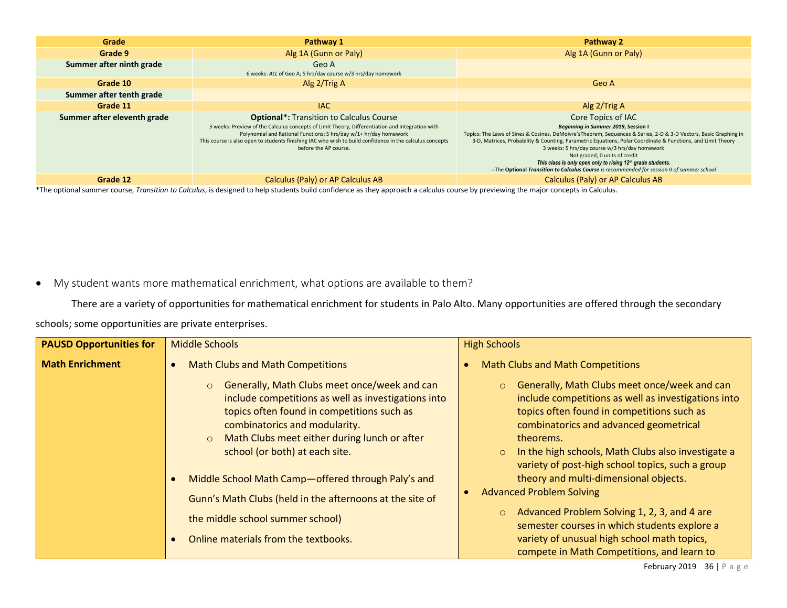| Grade                       | Pathway 1                                                                                                                                                                                                                                                                                                                                                    | Pathway 2                                                                                                                                                                                                                                                                                                                                                                                                                                                                                                                                                  |
|-----------------------------|--------------------------------------------------------------------------------------------------------------------------------------------------------------------------------------------------------------------------------------------------------------------------------------------------------------------------------------------------------------|------------------------------------------------------------------------------------------------------------------------------------------------------------------------------------------------------------------------------------------------------------------------------------------------------------------------------------------------------------------------------------------------------------------------------------------------------------------------------------------------------------------------------------------------------------|
| Grade 9                     | Alg 1A (Gunn or Paly)                                                                                                                                                                                                                                                                                                                                        | Alg 1A (Gunn or Paly)                                                                                                                                                                                                                                                                                                                                                                                                                                                                                                                                      |
| Summer after ninth grade    | Geo A<br>6 weeks: ALL of Geo A; 5 hrs/day course w/3 hrs/day homework                                                                                                                                                                                                                                                                                        |                                                                                                                                                                                                                                                                                                                                                                                                                                                                                                                                                            |
| Grade 10                    | Alg 2/Trig A                                                                                                                                                                                                                                                                                                                                                 | Geo A                                                                                                                                                                                                                                                                                                                                                                                                                                                                                                                                                      |
| Summer after tenth grade    |                                                                                                                                                                                                                                                                                                                                                              |                                                                                                                                                                                                                                                                                                                                                                                                                                                                                                                                                            |
| Grade 11                    | <b>IAC</b>                                                                                                                                                                                                                                                                                                                                                   | Alg $2/T$ rig A                                                                                                                                                                                                                                                                                                                                                                                                                                                                                                                                            |
| Summer after eleventh grade | <b>Optional*:</b> Transition to Calculus Course<br>3 weeks: Preview of the Calculus concepts of Limit Theory, Differentiation and Integration with<br>Polynomial and Rational Functions; 5 hrs/day w/1+ hr/day homework<br>This course is also open to students finishing IAC who wish to build confidence in the calculus concepts<br>before the AP course. | Core Topics of IAC<br>Beginning in Summer 2019, Session I<br>Topics: The Laws of Sines & Cosines, DeMoivre'sTheorem, Sequences & Series, 2-D & 3-D Vectors, Basic Graphing in<br>3-D, Matrices, Probability & Counting, Parametric Equations, Polar Coordinate & Functions, and Limit Theory<br>3 weeks: 5 hrs/day course w/3 hrs/day homework<br>Not graded; 0 units of credit<br>This class is only open only to rising 12 <sup>th</sup> grade students.<br>-- The Optional Transition to Calculus Course is recommended for session II of summer school |
| Grade 12                    | Calculus (Paly) or AP Calculus AB                                                                                                                                                                                                                                                                                                                            | Calculus (Paly) or AP Calculus AB                                                                                                                                                                                                                                                                                                                                                                                                                                                                                                                          |

\*The optional summer course, *Transition to Calculus*, is designed to help students build confidence as they approach a calculus course by previewing the major concepts in Calculus.

<span id="page-35-0"></span>• My student wants more mathematical enrichment, what options are available to them?

There are a variety of opportunities for mathematical enrichment for students in Palo Alto. Many opportunities are offered through the secondary

schools; some opportunities are private enterprises.

| <b>PAUSD Opportunities for</b> | <b>Middle Schools</b>                                                                                                                                                                                                                                                                      | <b>High Schools</b>                                                                                                                                                                                                                                                                                                                      |
|--------------------------------|--------------------------------------------------------------------------------------------------------------------------------------------------------------------------------------------------------------------------------------------------------------------------------------------|------------------------------------------------------------------------------------------------------------------------------------------------------------------------------------------------------------------------------------------------------------------------------------------------------------------------------------------|
| <b>Math Enrichment</b>         | <b>Math Clubs and Math Competitions</b>                                                                                                                                                                                                                                                    | <b>Math Clubs and Math Competitions</b>                                                                                                                                                                                                                                                                                                  |
|                                | Generally, Math Clubs meet once/week and can<br>$\circ$<br>include competitions as well as investigations into<br>topics often found in competitions such as<br>combinatorics and modularity.<br>Math Clubs meet either during lunch or after<br>$\circ$<br>school (or both) at each site. | Generally, Math Clubs meet once/week and can<br>$\circ$<br>include competitions as well as investigations into<br>topics often found in competitions such as<br>combinatorics and advanced geometrical<br>theorems.<br>In the high schools, Math Clubs also investigate a<br>$\circ$<br>variety of post-high school topics, such a group |
|                                | Middle School Math Camp-offered through Paly's and                                                                                                                                                                                                                                         | theory and multi-dimensional objects.                                                                                                                                                                                                                                                                                                    |
|                                | Gunn's Math Clubs (held in the afternoons at the site of                                                                                                                                                                                                                                   | <b>Advanced Problem Solving</b>                                                                                                                                                                                                                                                                                                          |
|                                | the middle school summer school)                                                                                                                                                                                                                                                           | Advanced Problem Solving 1, 2, 3, and 4 are<br>$\circ$<br>semester courses in which students explore a                                                                                                                                                                                                                                   |
|                                | Online materials from the textbooks.                                                                                                                                                                                                                                                       | variety of unusual high school math topics,                                                                                                                                                                                                                                                                                              |
|                                |                                                                                                                                                                                                                                                                                            | compete in Math Competitions, and learn to                                                                                                                                                                                                                                                                                               |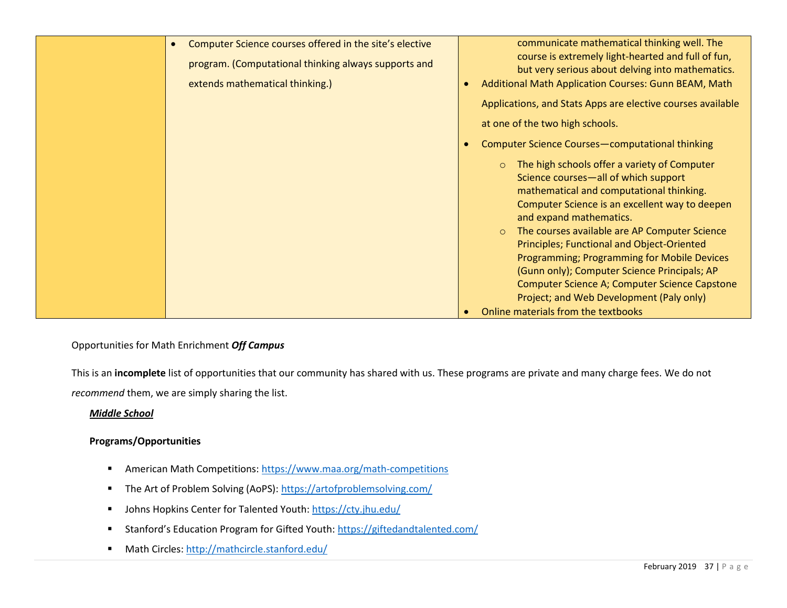| Computer Science courses offered in the site's elective<br>$\bullet$<br>program. (Computational thinking always supports and<br>extends mathematical thinking.) | communicate mathematical thinking well. The<br>course is extremely light-hearted and full of fun,<br>but very serious about delving into mathematics.<br>Additional Math Application Courses: Gunn BEAM, Math<br>$\bullet$                                                |
|-----------------------------------------------------------------------------------------------------------------------------------------------------------------|---------------------------------------------------------------------------------------------------------------------------------------------------------------------------------------------------------------------------------------------------------------------------|
|                                                                                                                                                                 | Applications, and Stats Apps are elective courses available<br>at one of the two high schools.                                                                                                                                                                            |
|                                                                                                                                                                 | Computer Science Courses-computational thinking<br>$\bullet$                                                                                                                                                                                                              |
|                                                                                                                                                                 | The high schools offer a variety of Computer<br>$\circ$<br>Science courses-all of which support<br>mathematical and computational thinking.<br>Computer Science is an excellent way to deepen<br>and expand mathematics.<br>The courses available are AP Computer Science |
|                                                                                                                                                                 | Principles; Functional and Object-Oriented<br>Programming; Programming for Mobile Devices<br>(Gunn only); Computer Science Principals; AP<br>Computer Science A; Computer Science Capstone<br>Project; and Web Development (Paly only)                                    |
|                                                                                                                                                                 | Online materials from the textbooks<br>$\bullet$                                                                                                                                                                                                                          |

## Opportunities for Math Enrichment *Off Campus*

This is an **incomplete** list of opportunities that our community has shared with us. These programs are private and many charge fees. We do not *recommend* them, we are simply sharing the list.

#### *Middle School*

## **Programs/Opportunities**

- American Math Competitions:<https://www.maa.org/math-competitions>
- The Art of Problem Solving (AoPS):<https://artofproblemsolving.com/>
- Johns Hopkins Center for Talented Youth:<https://cty.jhu.edu/>
- Stanford's Education Program for Gifted Youth: <https://giftedandtalented.com/>
- Math Circles:<http://mathcircle.stanford.edu/>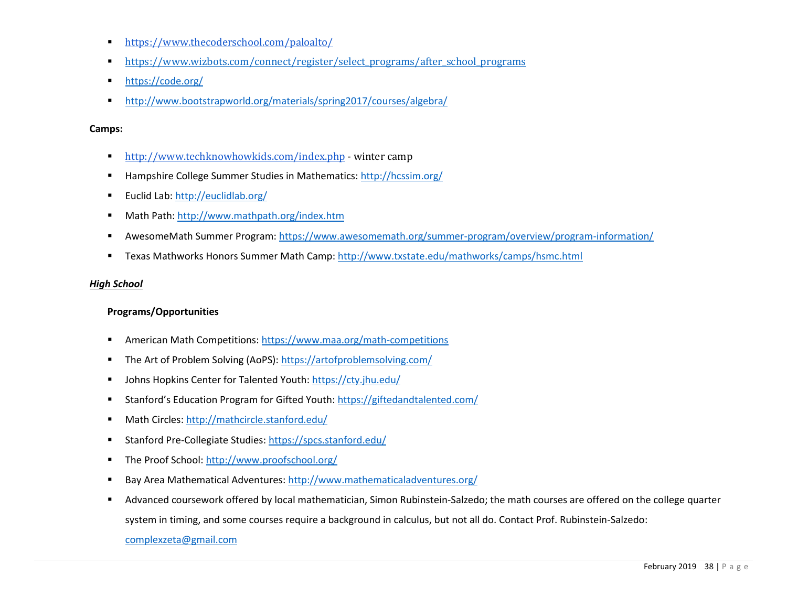- <https://www.thecoderschool.com/paloalto/>
- [https://www.wizbots.com/connect/register/select\\_programs/after\\_school\\_programs](https://www.wizbots.com/connect/register/select_programs/after_school_programs)
- <https://code.org/>
- <http://www.bootstrapworld.org/materials/spring2017/courses/algebra/>

#### **Camps:**

- <http://www.techknowhowkids.com/index.php> winter camp
- Hampshire College Summer Studies in Mathematics[: http://hcssim.org/](http://hcssim.org/)
- Euclid Lab:<http://euclidlab.org/>
- Math Path[: http://www.mathpath.org/index.htm](http://www.mathpath.org/index.htm)
- AwesomeMath Summer Program[: https://www.awesomemath.org/summer-program/overview/program-information/](https://www.awesomemath.org/summer-program/overview/program-information/)
- **EXALUM** Texas Mathworks Honors Summer Math Camp:<http://www.txstate.edu/mathworks/camps/hsmc.html>

#### *High School*

## **Programs/Opportunities**

- American Math Competitions:<https://www.maa.org/math-competitions>
- The Art of Problem Solving (AoPS):<https://artofproblemsolving.com/>
- Johns Hopkins Center for Talented Youth:<https://cty.jhu.edu/>
- Stanford's Education Program for Gifted Youth: <https://giftedandtalented.com/>
- Math Circles:<http://mathcircle.stanford.edu/>
- Stanford Pre-Collegiate Studies:<https://spcs.stanford.edu/>
- The Proof School:<http://www.proofschool.org/>
- Bay Area Mathematical Adventures:<http://www.mathematicaladventures.org/>
- Advanced coursework offered by local mathematician, Simon Rubinstein-Salzedo; the math courses are offered on the college quarter

system in timing, and some courses require a background in calculus, but not all do. Contact Prof. Rubinstein-Salzedo:

[complexzeta@gmail.com](mailto:complexzeta@gmail.com)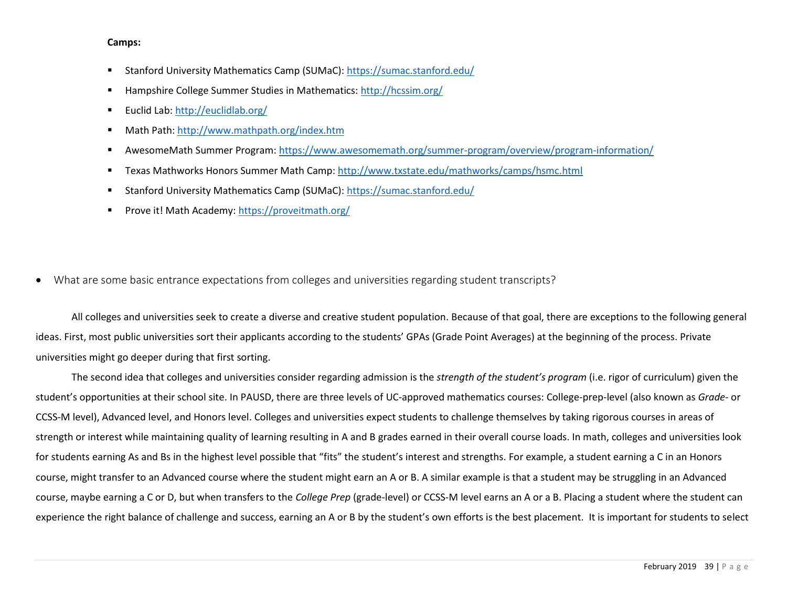#### **Camps:**

- Stanford University Mathematics Camp (SUMaC):<https://sumac.stanford.edu/>
- Hampshire College Summer Studies in Mathematics[: http://hcssim.org/](http://hcssim.org/)
- Euclid Lab:<http://euclidlab.org/>
- Math Path[: http://www.mathpath.org/index.htm](http://www.mathpath.org/index.htm)
- AwesomeMath Summer Program[: https://www.awesomemath.org/summer-program/overview/program-information/](https://www.awesomemath.org/summer-program/overview/program-information/)
- **EXALUM** Texas Mathworks Honors Summer Math Camp:<http://www.txstate.edu/mathworks/camps/hsmc.html>
- Stanford University Mathematics Camp (SUMaC):<https://sumac.stanford.edu/>
- Prove it! Math Academy:<https://proveitmath.org/>
- <span id="page-38-0"></span>• What are some basic entrance expectations from colleges and universities regarding student transcripts?

All colleges and universities seek to create a diverse and creative student population. Because of that goal, there are exceptions to the following general ideas. First, most public universities sort their applicants according to the students' GPAs (Grade Point Averages) at the beginning of the process. Private universities might go deeper during that first sorting.

The second idea that colleges and universities consider regarding admission is the *strength of the student's program* (i.e. rigor of curriculum) given the student's opportunities at their school site. In PAUSD, there are three levels of UC-approved mathematics courses: College-prep-level (also known as *Grade-* or CCSS-M level), Advanced level, and Honors level. Colleges and universities expect students to challenge themselves by taking rigorous courses in areas of strength or interest while maintaining quality of learning resulting in A and B grades earned in their overall course loads. In math, colleges and universities look for students earning As and Bs in the highest level possible that "fits" the student's interest and strengths. For example, a student earning a C in an Honors course, might transfer to an Advanced course where the student might earn an A or B. A similar example is that a student may be struggling in an Advanced course, maybe earning a C or D, but when transfers to the *College Prep* (grade-level) or CCSS-M level earns an A or a B. Placing a student where the student can experience the right balance of challenge and success, earning an A or B by the student's own efforts is the best placement. It is important for students to select